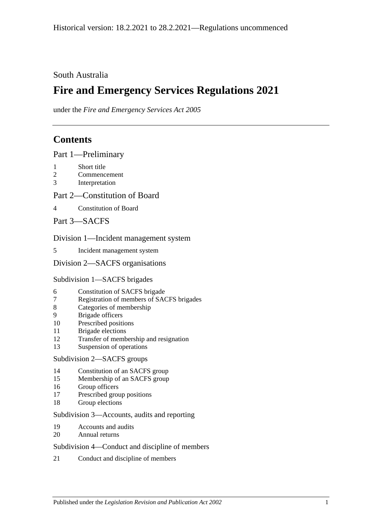## South Australia

# **Fire and Emergency Services Regulations 2021**

under the *Fire and Emergency Services Act 2005*

## **Contents**

Part [1—Preliminary](#page-3-0)

- 1 [Short title](#page-3-1)
- 2 [Commencement](#page-3-2)
- 3 [Interpretation](#page-3-3)

## Part [2—Constitution of Board](#page-4-0)

4 [Constitution of Board](#page-4-1)

Part [3—SACFS](#page-4-2)

## Division [1—Incident management system](#page-4-3)

5 [Incident management system](#page-4-4)

#### Division [2—SACFS organisations](#page-4-5)

## Subdivision [1—SACFS brigades](#page-4-6)

- 6 [Constitution of SACFS brigade](#page-4-7)
- 7 [Registration of members of SACFS brigades](#page-5-0)
- 8 [Categories of membership](#page-5-1)
- 9 [Brigade officers](#page-7-0)
- 10 [Prescribed positions](#page-7-1)
- 11 [Brigade elections](#page-8-0)
- 12 [Transfer of membership and resignation](#page-10-0)
- 13 [Suspension of operations](#page-10-1)

#### Subdivision [2—SACFS groups](#page-10-2)

- 14 [Constitution of an SACFS group](#page-10-3)
- 15 [Membership of an SACFS group](#page-11-0)
- 16 [Group officers](#page-11-1)
- 17 [Prescribed group positions](#page-11-2)
- 18 [Group elections](#page-11-3)

## Subdivision [3—Accounts, audits and reporting](#page-14-0)

- 19 [Accounts and audits](#page-14-1)
- 20 [Annual returns](#page-15-0)

## Subdivision [4—Conduct and discipline of members](#page-15-1)

21 [Conduct and discipline of](#page-15-2) members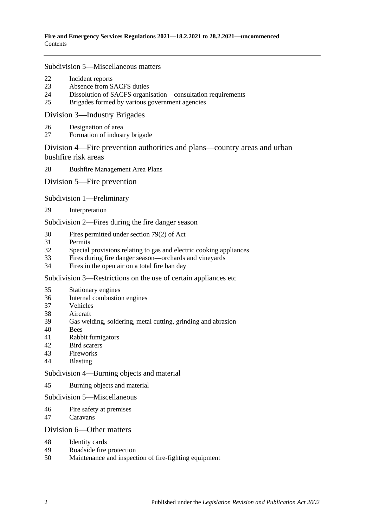#### Subdivision [5—Miscellaneous matters](#page-17-0)

- [Incident reports](#page-17-1)
- [Absence from SACFS duties](#page-17-2)
- [Dissolution of SACFS organisation—consultation requirements](#page-18-0)
- [Brigades formed by various government agencies](#page-18-1)

#### Division [3—Industry Brigades](#page-19-0)

- [Designation of area](#page-19-1)
- [Formation of industry brigade](#page-20-0)

## Division [4—Fire prevention authorities and plans—country areas and urban](#page-21-0)  [bushfire risk areas](#page-21-0)

[Bushfire Management Area Plans](#page-21-1)

Division [5—Fire prevention](#page-21-2)

#### Subdivision [1—Preliminary](#page-21-3)

[Interpretation](#page-21-4)

Subdivision [2—Fires during the fire danger season](#page-22-0)

- [Fires permitted under section](#page-22-1) 79(2) of Act
- [Permits](#page-23-0)
- [Special provisions relating to gas and electric cooking appliances](#page-25-0)
- [Fires during fire danger season—orchards and vineyards](#page-27-0)
- [Fires in the open air on a total fire ban day](#page-27-1)

Subdivision [3—Restrictions on the use of certain appliances etc](#page-28-0)

- [Stationary engines](#page-28-1)
- [Internal combustion engines](#page-28-2)
- [Vehicles](#page-29-0)
- [Aircraft](#page-29-1)
- [Gas welding, soldering, metal cutting, grinding and abrasion](#page-29-2)
- [Bees](#page-30-0)
- [Rabbit fumigators](#page-30-1)
- [Bird scarers](#page-30-2)
- [Fireworks](#page-31-0)
- [Blasting](#page-31-1)

Subdivision [4—Burning objects and material](#page-31-2)

[Burning objects and material](#page-31-3)

#### Subdivision [5—Miscellaneous](#page-32-0)

- [Fire safety at premises](#page-32-1)
- [Caravans](#page-32-2)

#### Division [6—Other matters](#page-32-3)

- [Identity cards](#page-32-4)
- [Roadside fire protection](#page-33-0)
- [Maintenance and inspection of fire-fighting equipment](#page-33-1)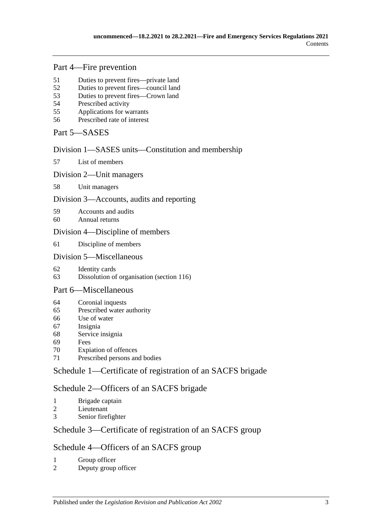## Part [4—Fire prevention](#page-33-2)

- [Duties to prevent fires—private land](#page-33-3)
- [Duties to prevent fires—council land](#page-33-4)
- [Duties to prevent fires—Crown land](#page-33-5)
- [Prescribed activity](#page-34-0)
- [Applications for warrants](#page-34-1)
- [Prescribed rate of interest](#page-35-0)
- Part [5—SASES](#page-35-1)

## Division [1—SASES units—Constitution and membership](#page-35-2)

[List of members](#page-35-3)

#### Division [2—Unit managers](#page-35-4)

[Unit managers](#page-35-5)

## Division [3—Accounts, audits and reporting](#page-35-6)

- [Accounts and audits](#page-35-7)
- [Annual returns](#page-36-0)

## Division [4—Discipline of members](#page-36-1)

[Discipline of members](#page-36-2)

## Division [5—Miscellaneous](#page-38-0)

- [Identity cards](#page-38-1)
- [Dissolution of organisation \(section 116\)](#page-39-0)

## Part [6—Miscellaneous](#page-40-0)

- [Coronial inquests](#page-40-1)
- [Prescribed water authority](#page-40-2)
- [Use of water](#page-40-3)
- [Insignia](#page-40-4)
- [Service insignia](#page-41-0)
- [Fees](#page-41-1)
- [Expiation of offences](#page-41-2)
- [Prescribed persons and bodies](#page-42-0)

## Schedule [1—Certificate of registration of an SACFS brigade](#page-43-0)

## Schedule [2—Officers of an SACFS brigade](#page-43-1)

- [Brigade captain](#page-43-2)<br>2 Lieutenant
- [Lieutenant](#page-43-3)
- [Senior firefighter](#page-43-4)

## Schedule [3—Certificate of registration of an SACFS group](#page-44-0)

## Schedule [4—Officers of an SACFS group](#page-44-1)

- [Group officer](#page-44-2)
- [Deputy group officer](#page-44-3)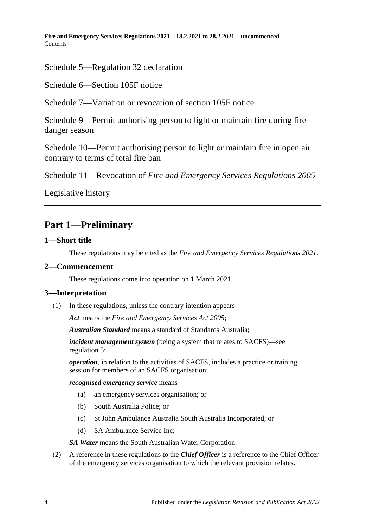**Fire and Emergency Services Regulations 2021—18.2.2021 to 28.2.2021—uncommenced** Contents

Schedule [5—Regulation](#page-44-4) 32 declaration

Schedule 6—Section [105F notice](#page-45-0)

Schedule [7—Variation or revocation of section](#page-46-0) 105F notice

Schedule [9—Permit authorising person to light or maintain fire during fire](#page-46-1)  [danger season](#page-46-1)

Schedule [10—Permit authorising person to light or maintain fire in open air](#page-47-0)  [contrary to terms of total fire ban](#page-47-0)

Schedule 11—Revocation of *[Fire and Emergency Services Regulations](#page-47-1) 2005*

[Legislative history](#page-48-0)

# <span id="page-3-0"></span>**Part 1—Preliminary**

## <span id="page-3-1"></span>**1—Short title**

These regulations may be cited as the *Fire and Emergency Services Regulations 2021*.

## <span id="page-3-2"></span>**2—Commencement**

These regulations come into operation on 1 March 2021.

#### <span id="page-3-3"></span>**3—Interpretation**

(1) In these regulations, unless the contrary intention appears—

*Act* means the *[Fire and Emergency Services Act](http://www.legislation.sa.gov.au/index.aspx?action=legref&type=act&legtitle=Fire%20and%20Emergency%20Services%20Act%202005) 2005*;

*Australian Standard* means a standard of Standards Australia;

*incident management system* (being a system that relates to SACFS)—see [regulation](#page-4-4) 5;

*operation*, in relation to the activities of SACFS, includes a practice or training session for members of an SACFS organisation;

*recognised emergency service* means—

- (a) an emergency services organisation; or
- (b) South Australia Police; or
- (c) St John Ambulance Australia South Australia Incorporated; or
- (d) SA Ambulance Service Inc;

*SA Water* means the South Australian Water Corporation.

(2) A reference in these regulations to the *Chief Officer* is a reference to the Chief Officer of the emergency services organisation to which the relevant provision relates.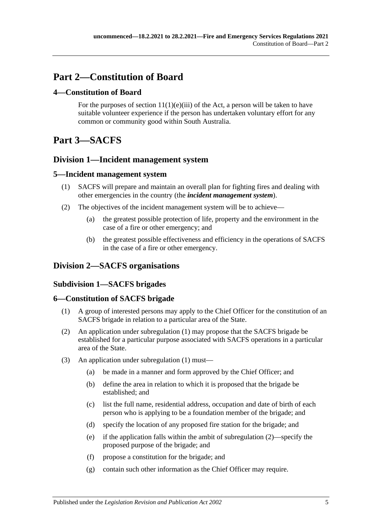# <span id="page-4-0"></span>**Part 2—Constitution of Board**

## <span id="page-4-1"></span>**4—Constitution of Board**

For the purposes of section  $11(1)(e)(iii)$  of the Act, a person will be taken to have suitable volunteer experience if the person has undertaken voluntary effort for any common or community good within South Australia.

# <span id="page-4-2"></span>**Part 3—SACFS**

## <span id="page-4-3"></span>**Division 1—Incident management system**

## <span id="page-4-4"></span>**5—Incident management system**

- (1) SACFS will prepare and maintain an overall plan for fighting fires and dealing with other emergencies in the country (the *incident management system*).
- (2) The objectives of the incident management system will be to achieve—
	- (a) the greatest possible protection of life, property and the environment in the case of a fire or other emergency; and
	- (b) the greatest possible effectiveness and efficiency in the operations of SACFS in the case of a fire or other emergency.

## <span id="page-4-6"></span><span id="page-4-5"></span>**Division 2—SACFS organisations**

## **Subdivision 1—SACFS brigades**

## <span id="page-4-8"></span><span id="page-4-7"></span>**6—Constitution of SACFS brigade**

- (1) A group of interested persons may apply to the Chief Officer for the constitution of an SACFS brigade in relation to a particular area of the State.
- <span id="page-4-9"></span>(2) An application under [subregulation](#page-4-8) (1) may propose that the SACFS brigade be established for a particular purpose associated with SACFS operations in a particular area of the State.
- (3) An application under [subregulation](#page-4-8) (1) must—
	- (a) be made in a manner and form approved by the Chief Officer; and
	- (b) define the area in relation to which it is proposed that the brigade be established; and
	- (c) list the full name, residential address, occupation and date of birth of each person who is applying to be a foundation member of the brigade; and
	- (d) specify the location of any proposed fire station for the brigade; and
	- (e) if the application falls within the ambit of [subregulation](#page-4-9) (2)—specify the proposed purpose of the brigade; and
	- (f) propose a constitution for the brigade; and
	- (g) contain such other information as the Chief Officer may require.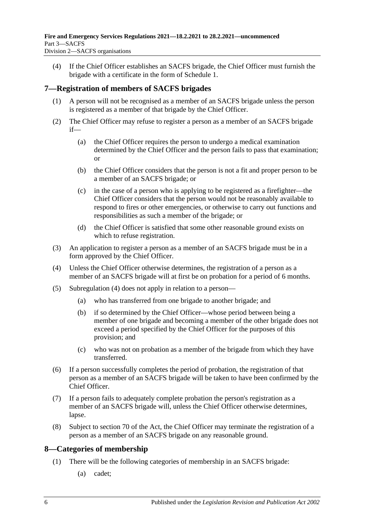(4) If the Chief Officer establishes an SACFS brigade, the Chief Officer must furnish the brigade with a certificate in the form of [Schedule](#page-43-0) 1.

## <span id="page-5-0"></span>**7—Registration of members of SACFS brigades**

- (1) A person will not be recognised as a member of an SACFS brigade unless the person is registered as a member of that brigade by the Chief Officer.
- (2) The Chief Officer may refuse to register a person as a member of an SACFS brigade if—
	- (a) the Chief Officer requires the person to undergo a medical examination determined by the Chief Officer and the person fails to pass that examination; or
	- (b) the Chief Officer considers that the person is not a fit and proper person to be a member of an SACFS brigade; or
	- (c) in the case of a person who is applying to be registered as a firefighter—the Chief Officer considers that the person would not be reasonably available to respond to fires or other emergencies, or otherwise to carry out functions and responsibilities as such a member of the brigade; or
	- (d) the Chief Officer is satisfied that some other reasonable ground exists on which to refuse registration.
- (3) An application to register a person as a member of an SACFS brigade must be in a form approved by the Chief Officer.
- <span id="page-5-2"></span>(4) Unless the Chief Officer otherwise determines, the registration of a person as a member of an SACFS brigade will at first be on probation for a period of 6 months.
- (5) [Subregulation](#page-5-2) (4) does not apply in relation to a person—
	- (a) who has transferred from one brigade to another brigade; and
	- (b) if so determined by the Chief Officer—whose period between being a member of one brigade and becoming a member of the other brigade does not exceed a period specified by the Chief Officer for the purposes of this provision; and
	- (c) who was not on probation as a member of the brigade from which they have transferred.
- (6) If a person successfully completes the period of probation, the registration of that person as a member of an SACFS brigade will be taken to have been confirmed by the Chief Officer.
- (7) If a person fails to adequately complete probation the person's registration as a member of an SACFS brigade will, unless the Chief Officer otherwise determines, lapse.
- (8) Subject to section 70 of the Act, the Chief Officer may terminate the registration of a person as a member of an SACFS brigade on any reasonable ground.

## <span id="page-5-1"></span>**8—Categories of membership**

- (1) There will be the following categories of membership in an SACFS brigade:
	- (a) cadet;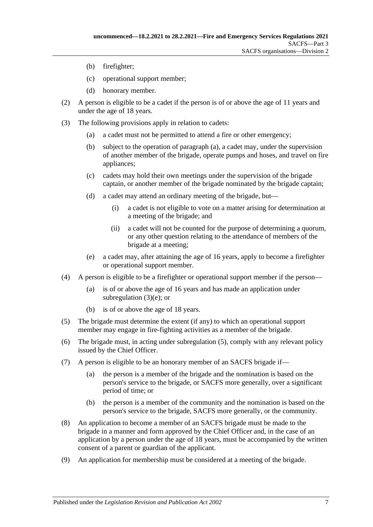- (b) firefighter;
- (c) operational support member;
- (d) honorary member.
- (2) A person is eligible to be a cadet if the person is of or above the age of 11 years and under the age of 18 years.
- <span id="page-6-0"></span>(3) The following provisions apply in relation to cadets:
	- (a) a cadet must not be permitted to attend a fire or other emergency;
	- (b) subject to the operation of [paragraph](#page-6-0) (a), a cadet may, under the supervision of another member of the brigade, operate pumps and hoses, and travel on fire appliances;
	- (c) cadets may hold their own meetings under the supervision of the brigade captain, or another member of the brigade nominated by the brigade captain;
	- (d) a cadet may attend an ordinary meeting of the brigade, but—
		- (i) a cadet is not eligible to vote on a matter arising for determination at a meeting of the brigade; and
		- (ii) a cadet will not be counted for the purpose of determining a quorum, or any other question relating to the attendance of members of the brigade at a meeting;
	- (e) a cadet may, after attaining the age of 16 years, apply to become a firefighter or operational support member.
- <span id="page-6-1"></span>(4) A person is eligible to be a firefighter or operational support member if the person—
	- (a) is of or above the age of 16 years and has made an application under [subregulation](#page-6-1) (3)(e); or
	- (b) is of or above the age of 18 years.
- <span id="page-6-2"></span>(5) The brigade must determine the extent (if any) to which an operational support member may engage in fire-fighting activities as a member of the brigade.
- (6) The brigade must, in acting under [subregulation](#page-6-2) (5), comply with any relevant policy issued by the Chief Officer.
- <span id="page-6-3"></span>(7) A person is eligible to be an honorary member of an SACFS brigade if
	- the person is a member of the brigade and the nomination is based on the person's service to the brigade, or SACFS more generally, over a significant period of time; or
	- (b) the person is a member of the community and the nomination is based on the person's service to the brigade, SACFS more generally, or the community.
- (8) An application to become a member of an SACFS brigade must be made to the brigade in a manner and form approved by the Chief Officer and, in the case of an application by a person under the age of 18 years, must be accompanied by the written consent of a parent or guardian of the applicant.
- (9) An application for membership must be considered at a meeting of the brigade.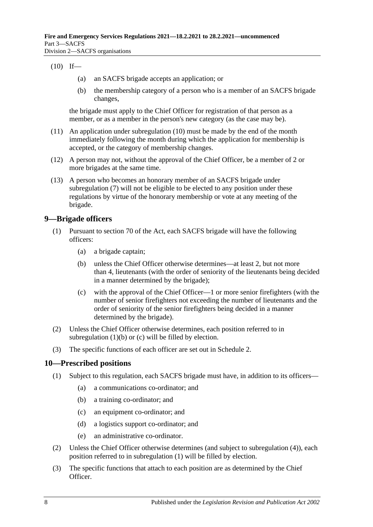#### <span id="page-7-2"></span> $(10)$  If—

- (a) an SACFS brigade accepts an application; or
- (b) the membership category of a person who is a member of an SACFS brigade changes,

the brigade must apply to the Chief Officer for registration of that person as a member, or as a member in the person's new category (as the case may be).

- (11) An application under [subregulation](#page-7-2) (10) must be made by the end of the month immediately following the month during which the application for membership is accepted, or the category of membership changes.
- (12) A person may not, without the approval of the Chief Officer, be a member of 2 or more brigades at the same time.
- (13) A person who becomes an honorary member of an SACFS brigade under [subregulation](#page-6-3) (7) will not be eligible to be elected to any position under these regulations by virtue of the honorary membership or vote at any meeting of the brigade.

## <span id="page-7-0"></span>**9—Brigade officers**

- <span id="page-7-3"></span>(1) Pursuant to section 70 of the Act, each SACFS brigade will have the following officers:
	- (a) a brigade captain;
	- (b) unless the Chief Officer otherwise determines—at least 2, but not more than 4, lieutenants (with the order of seniority of the lieutenants being decided in a manner determined by the brigade);
	- (c) with the approval of the Chief Officer—1 or more senior firefighters (with the number of senior firefighters not exceeding the number of lieutenants and the order of seniority of the senior firefighters being decided in a manner determined by the brigade).
- <span id="page-7-4"></span>(2) Unless the Chief Officer otherwise determines, each position referred to in [subregulation](#page-7-3) (1)(b) or [\(c\)](#page-7-4) will be filled by election.
- (3) The specific functions of each officer are set out in [Schedule](#page-43-1) 2.

## <span id="page-7-5"></span><span id="page-7-1"></span>**10—Prescribed positions**

- (1) Subject to this regulation, each SACFS brigade must have, in addition to its officers—
	- (a) a communications co-ordinator; and
	- (b) a training co-ordinator; and
	- (c) an equipment co-ordinator; and
	- (d) a logistics support co-ordinator; and
	- (e) an administrative co-ordinator.
- (2) Unless the Chief Officer otherwise determines (and subject to [subregulation](#page-8-1) (4)), each position referred to in [subregulation](#page-7-5) (1) will be filled by election.
- (3) The specific functions that attach to each position are as determined by the Chief Officer.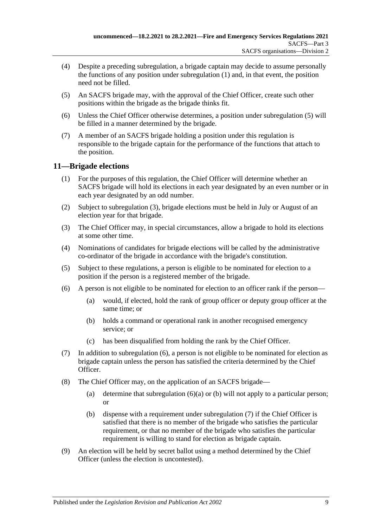- <span id="page-8-1"></span>(4) Despite a preceding subregulation, a brigade captain may decide to assume personally the functions of any position under [subregulation](#page-7-5) (1) and, in that event, the position need not be filled.
- <span id="page-8-2"></span>(5) An SACFS brigade may, with the approval of the Chief Officer, create such other positions within the brigade as the brigade thinks fit.
- (6) Unless the Chief Officer otherwise determines, a position under [subregulation](#page-8-2) (5) will be filled in a manner determined by the brigade.
- (7) A member of an SACFS brigade holding a position under this regulation is responsible to the brigade captain for the performance of the functions that attach to the position.

## <span id="page-8-0"></span>**11—Brigade elections**

- (1) For the purposes of this regulation, the Chief Officer will determine whether an SACFS brigade will hold its elections in each year designated by an even number or in each year designated by an odd number.
- (2) Subject to [subregulation](#page-8-3) (3), brigade elections must be held in July or August of an election year for that brigade.
- <span id="page-8-3"></span>(3) The Chief Officer may, in special circumstances, allow a brigade to hold its elections at some other time.
- (4) Nominations of candidates for brigade elections will be called by the administrative co-ordinator of the brigade in accordance with the brigade's constitution.
- (5) Subject to these regulations, a person is eligible to be nominated for election to a position if the person is a registered member of the brigade.
- <span id="page-8-6"></span><span id="page-8-5"></span><span id="page-8-4"></span>(6) A person is not eligible to be nominated for election to an officer rank if the person—
	- (a) would, if elected, hold the rank of group officer or deputy group officer at the same time; or
	- (b) holds a command or operational rank in another recognised emergency service; or
	- (c) has been disqualified from holding the rank by the Chief Officer.
- <span id="page-8-7"></span>(7) In addition to [subregulation](#page-8-4) (6), a person is not eligible to be nominated for election as brigade captain unless the person has satisfied the criteria determined by the Chief Officer.
- (8) The Chief Officer may, on the application of an SACFS brigade
	- (a) determine that [subregulation](#page-8-5)  $(6)(a)$  or [\(b\)](#page-8-6) will not apply to a particular person; or
	- (b) dispense with a requirement under [subregulation](#page-8-7) (7) if the Chief Officer is satisfied that there is no member of the brigade who satisfies the particular requirement, or that no member of the brigade who satisfies the particular requirement is willing to stand for election as brigade captain.
- (9) An election will be held by secret ballot using a method determined by the Chief Officer (unless the election is uncontested).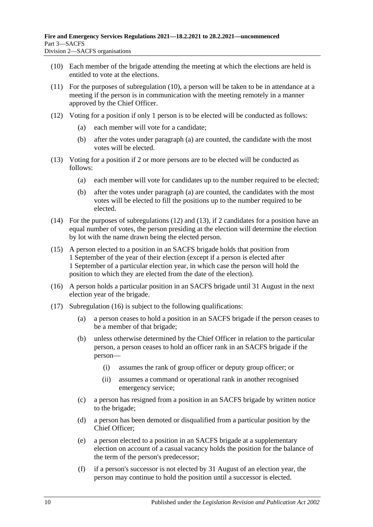- <span id="page-9-0"></span>(10) Each member of the brigade attending the meeting at which the elections are held is entitled to vote at the elections.
- (11) For the purposes of [subregulation](#page-9-0) (10), a person will be taken to be in attendance at a meeting if the person is in communication with the meeting remotely in a manner approved by the Chief Officer.
- <span id="page-9-3"></span><span id="page-9-1"></span>(12) Voting for a position if only 1 person is to be elected will be conducted as follows:
	- (a) each member will vote for a candidate;
	- (b) after the votes under [paragraph](#page-9-1) (a) are counted, the candidate with the most votes will be elected.
- <span id="page-9-4"></span><span id="page-9-2"></span>(13) Voting for a position if 2 or more persons are to be elected will be conducted as follows:
	- (a) each member will vote for candidates up to the number required to be elected;
	- (b) after the votes under [paragraph](#page-9-2) (a) are counted, the candidates with the most votes will be elected to fill the positions up to the number required to be elected.
- (14) For the purposes of [subregulations](#page-9-3) (12) and [\(13\),](#page-9-4) if 2 candidates for a position have an equal number of votes, the person presiding at the election will determine the election by lot with the name drawn being the elected person.
- (15) A person elected to a position in an SACFS brigade holds that position from 1 September of the year of their election (except if a person is elected after 1 September of a particular election year, in which case the person will hold the position to which they are elected from the date of the election).
- <span id="page-9-5"></span>(16) A person holds a particular position in an SACFS brigade until 31 August in the next election year of the brigade.
- (17) [Subregulation](#page-9-5) (16) is subject to the following qualifications:
	- (a) a person ceases to hold a position in an SACFS brigade if the person ceases to be a member of that brigade;
	- (b) unless otherwise determined by the Chief Officer in relation to the particular person, a person ceases to hold an officer rank in an SACFS brigade if the person—
		- (i) assumes the rank of group officer or deputy group officer; or
		- (ii) assumes a command or operational rank in another recognised emergency service;
	- (c) a person has resigned from a position in an SACFS brigade by written notice to the brigade;
	- (d) a person has been demoted or disqualified from a particular position by the Chief Officer;
	- (e) a person elected to a position in an SACFS brigade at a supplementary election on account of a casual vacancy holds the position for the balance of the term of the person's predecessor;
	- (f) if a person's successor is not elected by 31 August of an election year, the person may continue to hold the position until a successor is elected.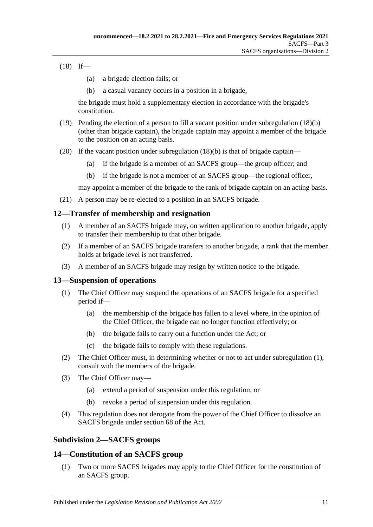<span id="page-10-4"></span> $(18)$  If—

- (a) a brigade election fails; or
- (b) a casual vacancy occurs in a position in a brigade,

the brigade must hold a supplementary election in accordance with the brigade's constitution.

- (19) Pending the election of a person to fill a vacant position under [subregulation](#page-10-4) (18)(b) (other than brigade captain), the brigade captain may appoint a member of the brigade to the position on an acting basis.
- (20) If the vacant position under [subregulation](#page-10-4) (18)(b) is that of brigade captain—
	- (a) if the brigade is a member of an SACFS group—the group officer; and
	- (b) if the brigade is not a member of an SACFS group—the regional officer,

may appoint a member of the brigade to the rank of brigade captain on an acting basis.

(21) A person may be re-elected to a position in an SACFS brigade.

## <span id="page-10-0"></span>**12—Transfer of membership and resignation**

- (1) A member of an SACFS brigade may, on written application to another brigade, apply to transfer their membership to that other brigade.
- (2) If a member of an SACFS brigade transfers to another brigade, a rank that the member holds at brigade level is not transferred.
- (3) A member of an SACFS brigade may resign by written notice to the brigade.

## <span id="page-10-5"></span><span id="page-10-1"></span>**13—Suspension of operations**

- (1) The Chief Officer may suspend the operations of an SACFS brigade for a specified period if—
	- (a) the membership of the brigade has fallen to a level where, in the opinion of the Chief Officer, the brigade can no longer function effectively; or
	- (b) the brigade fails to carry out a function under the Act; or
	- (c) the brigade fails to comply with these regulations.
- (2) The Chief Officer must, in determining whether or not to act under [subregulation](#page-10-5) (1), consult with the members of the brigade.
- (3) The Chief Officer may—
	- (a) extend a period of suspension under this regulation; or
	- (b) revoke a period of suspension under this regulation.
- (4) This regulation does not derogate from the power of the Chief Officer to dissolve an SACFS brigade under section 68 of the Act.

## <span id="page-10-2"></span>**Subdivision 2—SACFS groups**

## <span id="page-10-6"></span><span id="page-10-3"></span>**14—Constitution of an SACFS group**

(1) Two or more SACFS brigades may apply to the Chief Officer for the constitution of an SACFS group.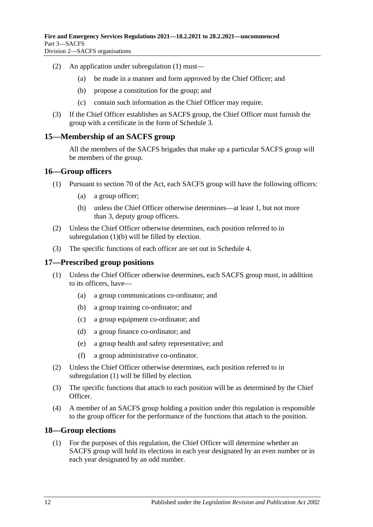- (2) An application under [subregulation](#page-10-6) (1) must—
	- (a) be made in a manner and form approved by the Chief Officer; and
	- (b) propose a constitution for the group; and
	- (c) contain such information as the Chief Officer may require.
- (3) If the Chief Officer establishes an SACFS group, the Chief Officer must furnish the group with a certificate in the form of [Schedule](#page-44-0) 3.

#### <span id="page-11-0"></span>**15—Membership of an SACFS group**

All the members of the SACFS brigades that make up a particular SACFS group will be members of the group.

#### <span id="page-11-1"></span>**16—Group officers**

- <span id="page-11-4"></span>(1) Pursuant to section 70 of the Act, each SACFS group will have the following officers:
	- (a) a group officer;
	- (b) unless the Chief Officer otherwise determines—at least 1, but not more than 3, deputy group officers.
- (2) Unless the Chief Officer otherwise determines, each position referred to in [subregulation](#page-11-4) (1)(b) will be filled by election.
- (3) The specific functions of each officer are set out in [Schedule](#page-44-1) 4.

#### <span id="page-11-5"></span><span id="page-11-2"></span>**17—Prescribed group positions**

- (1) Unless the Chief Officer otherwise determines, each SACFS group must, in addition to its officers, have—
	- (a) a group communications co-ordinator; and
	- (b) a group training co-ordinator; and
	- (c) a group equipment co-ordinator; and
	- (d) a group finance co-ordinator; and
	- (e) a group health and safety representative; and
	- (f) a group administrative co-ordinator.
- (2) Unless the Chief Officer otherwise determines, each position referred to in [subregulation](#page-11-5) (1) will be filled by election.
- (3) The specific functions that attach to each position will be as determined by the Chief Officer.
- (4) A member of an SACFS group holding a position under this regulation is responsible to the group officer for the performance of the functions that attach to the position.

#### <span id="page-11-3"></span>**18—Group elections**

(1) For the purposes of this regulation, the Chief Officer will determine whether an SACFS group will hold its elections in each year designated by an even number or in each year designated by an odd number.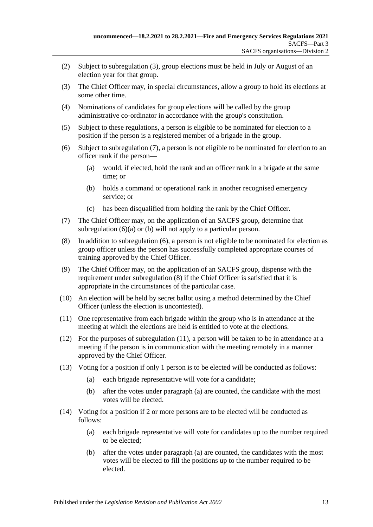- (2) Subject to [subregulation](#page-12-0) (3), group elections must be held in July or August of an election year for that group.
- <span id="page-12-0"></span>(3) The Chief Officer may, in special circumstances, allow a group to hold its elections at some other time.
- (4) Nominations of candidates for group elections will be called by the group administrative co-ordinator in accordance with the group's constitution.
- (5) Subject to these regulations, a person is eligible to be nominated for election to a position if the person is a registered member of a brigade in the group.
- <span id="page-12-4"></span><span id="page-12-3"></span><span id="page-12-2"></span>(6) Subject to [subregulation](#page-12-1) (7), a person is not eligible to be nominated for election to an officer rank if the person—
	- (a) would, if elected, hold the rank and an officer rank in a brigade at the same time; or
	- (b) holds a command or operational rank in another recognised emergency service; or
	- (c) has been disqualified from holding the rank by the Chief Officer.
- <span id="page-12-1"></span>(7) The Chief Officer may, on the application of an SACFS group, determine that [subregulation](#page-12-2) (6)(a) or [\(b\)](#page-12-3) will not apply to a particular person.
- <span id="page-12-5"></span>(8) In addition to [subregulation](#page-12-4) (6), a person is not eligible to be nominated for election as group officer unless the person has successfully completed appropriate courses of training approved by the Chief Officer.
- (9) The Chief Officer may, on the application of an SACFS group, dispense with the requirement under [subregulation](#page-12-5) (8) if the Chief Officer is satisfied that it is appropriate in the circumstances of the particular case.
- (10) An election will be held by secret ballot using a method determined by the Chief Officer (unless the election is uncontested).
- <span id="page-12-6"></span>(11) One representative from each brigade within the group who is in attendance at the meeting at which the elections are held is entitled to vote at the elections.
- (12) For the purposes of [subregulation](#page-12-6) (11), a person will be taken to be in attendance at a meeting if the person is in communication with the meeting remotely in a manner approved by the Chief Officer.
- <span id="page-12-9"></span><span id="page-12-7"></span>(13) Voting for a position if only 1 person is to be elected will be conducted as follows:
	- (a) each brigade representative will vote for a candidate;
	- (b) after the votes under [paragraph](#page-12-7) (a) are counted, the candidate with the most votes will be elected.
- <span id="page-12-10"></span><span id="page-12-8"></span>(14) Voting for a position if 2 or more persons are to be elected will be conducted as follows:
	- (a) each brigade representative will vote for candidates up to the number required to be elected;
	- (b) after the votes under [paragraph](#page-12-8) (a) are counted, the candidates with the most votes will be elected to fill the positions up to the number required to be elected.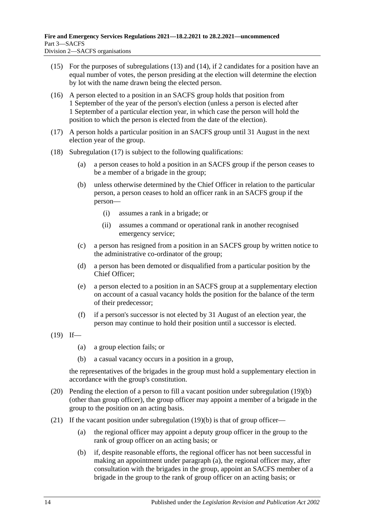- (15) For the purposes of [subregulations](#page-12-9) (13) and [\(14\),](#page-12-10) if 2 candidates for a position have an equal number of votes, the person presiding at the election will determine the election by lot with the name drawn being the elected person.
- (16) A person elected to a position in an SACFS group holds that position from 1 September of the year of the person's election (unless a person is elected after 1 September of a particular election year, in which case the person will hold the position to which the person is elected from the date of the election).
- <span id="page-13-0"></span>(17) A person holds a particular position in an SACFS group until 31 August in the next election year of the group.
- (18) [Subregulation](#page-13-0) (17) is subject to the following qualifications:
	- (a) a person ceases to hold a position in an SACFS group if the person ceases to be a member of a brigade in the group;
	- (b) unless otherwise determined by the Chief Officer in relation to the particular person, a person ceases to hold an officer rank in an SACFS group if the person—
		- (i) assumes a rank in a brigade; or
		- (ii) assumes a command or operational rank in another recognised emergency service;
	- (c) a person has resigned from a position in an SACFS group by written notice to the administrative co-ordinator of the group;
	- (d) a person has been demoted or disqualified from a particular position by the Chief Officer;
	- (e) a person elected to a position in an SACFS group at a supplementary election on account of a casual vacancy holds the position for the balance of the term of their predecessor;
	- (f) if a person's successor is not elected by 31 August of an election year, the person may continue to hold their position until a successor is elected.
- <span id="page-13-1"></span> $(19)$  If—
	- (a) a group election fails; or
	- (b) a casual vacancy occurs in a position in a group,

the representatives of the brigades in the group must hold a supplementary election in accordance with the group's constitution.

- (20) Pending the election of a person to fill a vacant position under [subregulation](#page-13-1) (19)(b) (other than group officer), the group officer may appoint a member of a brigade in the group to the position on an acting basis.
- <span id="page-13-3"></span><span id="page-13-2"></span>(21) If the vacant position under [subregulation](#page-13-1) (19)(b) is that of group officer—
	- (a) the regional officer may appoint a deputy group officer in the group to the rank of group officer on an acting basis; or
	- (b) if, despite reasonable efforts, the regional officer has not been successful in making an appointment under [paragraph](#page-13-2) (a), the regional officer may, after consultation with the brigades in the group, appoint an SACFS member of a brigade in the group to the rank of group officer on an acting basis; or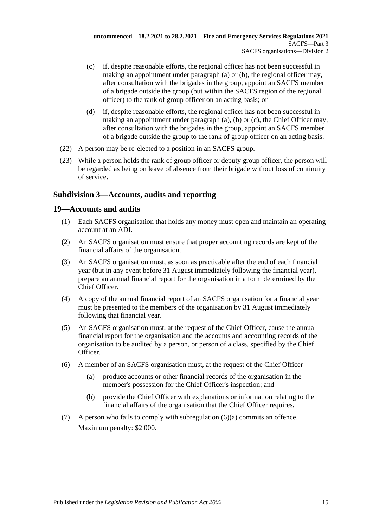- <span id="page-14-2"></span>(c) if, despite reasonable efforts, the regional officer has not been successful in making an appointment under [paragraph](#page-13-2) (a) or [\(b\),](#page-13-3) the regional officer may, after consultation with the brigades in the group, appoint an SACFS member of a brigade outside the group (but within the SACFS region of the regional officer) to the rank of group officer on an acting basis; or
- (d) if, despite reasonable efforts, the regional officer has not been successful in making an appointment under [paragraph](#page-13-2) (a), [\(b\)](#page-13-3) or [\(c\),](#page-14-2) the Chief Officer may, after consultation with the brigades in the group, appoint an SACFS member of a brigade outside the group to the rank of group officer on an acting basis.
- (22) A person may be re-elected to a position in an SACFS group.
- (23) While a person holds the rank of group officer or deputy group officer, the person will be regarded as being on leave of absence from their brigade without loss of continuity of service.

## <span id="page-14-0"></span>**Subdivision 3—Accounts, audits and reporting**

## <span id="page-14-1"></span>**19—Accounts and audits**

- (1) Each SACFS organisation that holds any money must open and maintain an operating account at an ADI.
- (2) An SACFS organisation must ensure that proper accounting records are kept of the financial affairs of the organisation.
- (3) An SACFS organisation must, as soon as practicable after the end of each financial year (but in any event before 31 August immediately following the financial year), prepare an annual financial report for the organisation in a form determined by the Chief Officer.
- (4) A copy of the annual financial report of an SACFS organisation for a financial year must be presented to the members of the organisation by 31 August immediately following that financial year.
- (5) An SACFS organisation must, at the request of the Chief Officer, cause the annual financial report for the organisation and the accounts and accounting records of the organisation to be audited by a person, or person of a class, specified by the Chief Officer.
- <span id="page-14-3"></span>(6) A member of an SACFS organisation must, at the request of the Chief Officer—
	- (a) produce accounts or other financial records of the organisation in the member's possession for the Chief Officer's inspection; and
	- (b) provide the Chief Officer with explanations or information relating to the financial affairs of the organisation that the Chief Officer requires.
- (7) A person who fails to comply with [subregulation](#page-14-3) (6)(a) commits an offence. Maximum penalty: \$2 000.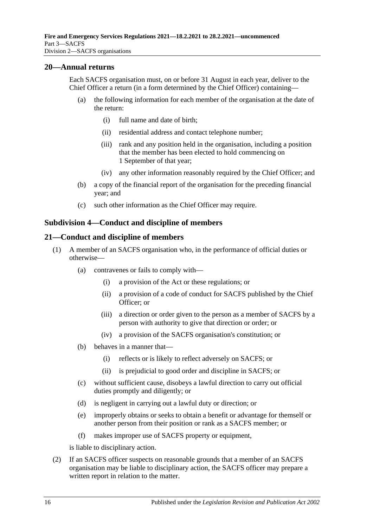#### <span id="page-15-0"></span>**20—Annual returns**

Each SACFS organisation must, on or before 31 August in each year, deliver to the Chief Officer a return (in a form determined by the Chief Officer) containing—

- (a) the following information for each member of the organisation at the date of the return:
	- (i) full name and date of birth;
	- (ii) residential address and contact telephone number;
	- (iii) rank and any position held in the organisation, including a position that the member has been elected to hold commencing on 1 September of that year;
	- (iv) any other information reasonably required by the Chief Officer; and
- (b) a copy of the financial report of the organisation for the preceding financial year; and
- (c) such other information as the Chief Officer may require.

#### <span id="page-15-1"></span>**Subdivision 4—Conduct and discipline of members**

#### <span id="page-15-2"></span>**21—Conduct and discipline of members**

- (1) A member of an SACFS organisation who, in the performance of official duties or otherwise—
	- (a) contravenes or fails to comply with—
		- (i) a provision of the Act or these regulations; or
		- (ii) a provision of a code of conduct for SACFS published by the Chief Officer; or
		- (iii) a direction or order given to the person as a member of SACFS by a person with authority to give that direction or order; or
		- (iv) a provision of the SACFS organisation's constitution; or
	- (b) behaves in a manner that—
		- (i) reflects or is likely to reflect adversely on SACFS; or
		- (ii) is prejudicial to good order and discipline in SACFS; or
	- (c) without sufficient cause, disobeys a lawful direction to carry out official duties promptly and diligently; or
	- (d) is negligent in carrying out a lawful duty or direction; or
	- (e) improperly obtains or seeks to obtain a benefit or advantage for themself or another person from their position or rank as a SACFS member; or
	- (f) makes improper use of SACFS property or equipment,

is liable to disciplinary action.

<span id="page-15-3"></span>(2) If an SACFS officer suspects on reasonable grounds that a member of an SACFS organisation may be liable to disciplinary action, the SACFS officer may prepare a written report in relation to the matter.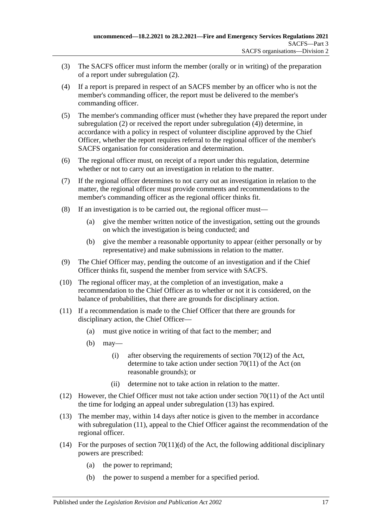- (3) The SACFS officer must inform the member (orally or in writing) of the preparation of a report under [subregulation](#page-15-3) (2).
- <span id="page-16-0"></span>(4) If a report is prepared in respect of an SACFS member by an officer who is not the member's commanding officer, the report must be delivered to the member's commanding officer.
- (5) The member's commanding officer must (whether they have prepared the report under [subregulation](#page-15-3) (2) or received the report under [subregulation](#page-16-0) (4)) determine, in accordance with a policy in respect of volunteer discipline approved by the Chief Officer, whether the report requires referral to the regional officer of the member's SACFS organisation for consideration and determination.
- (6) The regional officer must, on receipt of a report under this regulation, determine whether or not to carry out an investigation in relation to the matter.
- (7) If the regional officer determines to not carry out an investigation in relation to the matter, the regional officer must provide comments and recommendations to the member's commanding officer as the regional officer thinks fit.
- (8) If an investigation is to be carried out, the regional officer must—
	- (a) give the member written notice of the investigation, setting out the grounds on which the investigation is being conducted; and
	- (b) give the member a reasonable opportunity to appear (either personally or by representative) and make submissions in relation to the matter.
- (9) The Chief Officer may, pending the outcome of an investigation and if the Chief Officer thinks fit, suspend the member from service with SACFS.
- (10) The regional officer may, at the completion of an investigation, make a recommendation to the Chief Officer as to whether or not it is considered, on the balance of probabilities, that there are grounds for disciplinary action.
- <span id="page-16-2"></span>(11) If a recommendation is made to the Chief Officer that there are grounds for disciplinary action, the Chief Officer—
	- (a) must give notice in writing of that fact to the member; and
	- (b) may—
		- (i) after observing the requirements of section  $70(12)$  of the Act, determine to take action under section 70(11) of the Act (on reasonable grounds); or
		- (ii) determine not to take action in relation to the matter.
- (12) However, the Chief Officer must not take action under section 70(11) of the Act until the time for lodging an appeal under [subregulation](#page-16-1) (13) has expired.
- <span id="page-16-1"></span>(13) The member may, within 14 days after notice is given to the member in accordance with [subregulation](#page-16-2) (11), appeal to the Chief Officer against the recommendation of the regional officer.
- (14) For the purposes of section  $70(11)(d)$  of the Act, the following additional disciplinary powers are prescribed:
	- (a) the power to reprimand;
	- (b) the power to suspend a member for a specified period.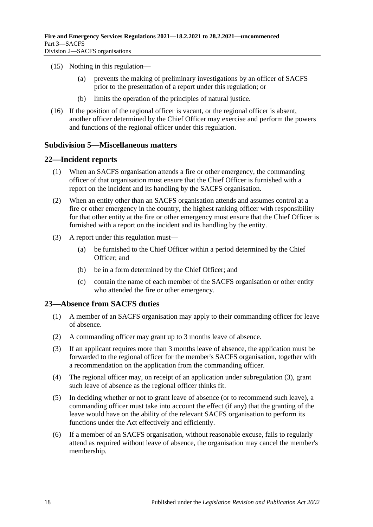- (15) Nothing in this regulation—
	- (a) prevents the making of preliminary investigations by an officer of SACFS prior to the presentation of a report under this regulation; or
	- (b) limits the operation of the principles of natural justice.
- (16) If the position of the regional officer is vacant, or the regional officer is absent, another officer determined by the Chief Officer may exercise and perform the powers and functions of the regional officer under this regulation.

## <span id="page-17-0"></span>**Subdivision 5—Miscellaneous matters**

## <span id="page-17-1"></span>**22—Incident reports**

- (1) When an SACFS organisation attends a fire or other emergency, the commanding officer of that organisation must ensure that the Chief Officer is furnished with a report on the incident and its handling by the SACFS organisation.
- (2) When an entity other than an SACFS organisation attends and assumes control at a fire or other emergency in the country, the highest ranking officer with responsibility for that other entity at the fire or other emergency must ensure that the Chief Officer is furnished with a report on the incident and its handling by the entity.
- (3) A report under this regulation must—
	- (a) be furnished to the Chief Officer within a period determined by the Chief Officer; and
	- (b) be in a form determined by the Chief Officer; and
	- (c) contain the name of each member of the SACFS organisation or other entity who attended the fire or other emergency.

## <span id="page-17-2"></span>**23—Absence from SACFS duties**

- (1) A member of an SACFS organisation may apply to their commanding officer for leave of absence.
- (2) A commanding officer may grant up to 3 months leave of absence.
- <span id="page-17-3"></span>(3) If an applicant requires more than 3 months leave of absence, the application must be forwarded to the regional officer for the member's SACFS organisation, together with a recommendation on the application from the commanding officer.
- (4) The regional officer may, on receipt of an application under [subregulation](#page-17-3) (3), grant such leave of absence as the regional officer thinks fit.
- (5) In deciding whether or not to grant leave of absence (or to recommend such leave), a commanding officer must take into account the effect (if any) that the granting of the leave would have on the ability of the relevant SACFS organisation to perform its functions under the Act effectively and efficiently.
- <span id="page-17-4"></span>(6) If a member of an SACFS organisation, without reasonable excuse, fails to regularly attend as required without leave of absence, the organisation may cancel the member's membership.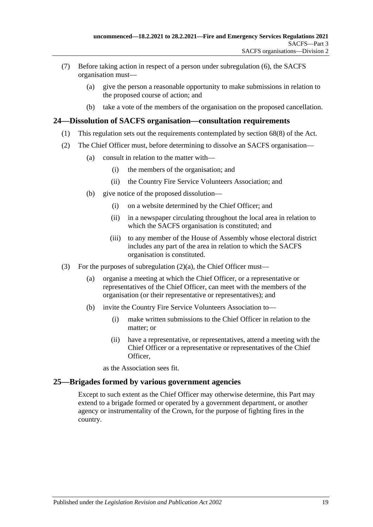- (7) Before taking action in respect of a person under [subregulation](#page-17-4) (6), the SACFS organisation must—
	- (a) give the person a reasonable opportunity to make submissions in relation to the proposed course of action; and
	- (b) take a vote of the members of the organisation on the proposed cancellation.

#### <span id="page-18-0"></span>**24—Dissolution of SACFS organisation—consultation requirements**

- (1) This regulation sets out the requirements contemplated by section 68(8) of the Act.
- <span id="page-18-2"></span>(2) The Chief Officer must, before determining to dissolve an SACFS organisation—
	- (a) consult in relation to the matter with—
		- (i) the members of the organisation; and
		- (ii) the Country Fire Service Volunteers Association; and
	- (b) give notice of the proposed dissolution—
		- (i) on a website determined by the Chief Officer; and
		- (ii) in a newspaper circulating throughout the local area in relation to which the SACFS organisation is constituted; and
		- (iii) to any member of the House of Assembly whose electoral district includes any part of the area in relation to which the SACFS organisation is constituted.
- (3) For the purposes of [subregulation](#page-18-2)  $(2)(a)$ , the Chief Officer must—
	- (a) organise a meeting at which the Chief Officer, or a representative or representatives of the Chief Officer, can meet with the members of the organisation (or their representative or representatives); and
	- (b) invite the Country Fire Service Volunteers Association to—
		- (i) make written submissions to the Chief Officer in relation to the matter; or
		- (ii) have a representative, or representatives, attend a meeting with the Chief Officer or a representative or representatives of the Chief Officer,

as the Association sees fit.

#### <span id="page-18-1"></span>**25—Brigades formed by various government agencies**

Except to such extent as the Chief Officer may otherwise determine, this Part may extend to a brigade formed or operated by a government department, or another agency or instrumentality of the Crown, for the purpose of fighting fires in the country.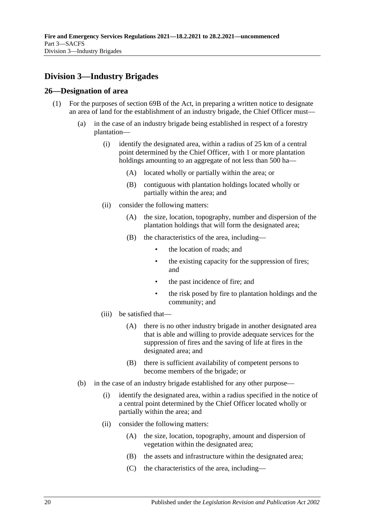## <span id="page-19-0"></span>**Division 3—Industry Brigades**

#### <span id="page-19-1"></span>**26—Designation of area**

- (1) For the purposes of section 69B of the Act, in preparing a written notice to designate an area of land for the establishment of an industry brigade, the Chief Officer must—
	- (a) in the case of an industry brigade being established in respect of a forestry plantation—
		- (i) identify the designated area, within a radius of 25 km of a central point determined by the Chief Officer, with 1 or more plantation holdings amounting to an aggregate of not less than 500 ha—
			- (A) located wholly or partially within the area; or
			- (B) contiguous with plantation holdings located wholly or partially within the area; and
		- (ii) consider the following matters:
			- (A) the size, location, topography, number and dispersion of the plantation holdings that will form the designated area;
			- (B) the characteristics of the area, including—
				- the location of roads; and
				- the existing capacity for the suppression of fires; and
				- the past incidence of fire; and
				- the risk posed by fire to plantation holdings and the community; and
		- (iii) be satisfied that—
			- (A) there is no other industry brigade in another designated area that is able and willing to provide adequate services for the suppression of fires and the saving of life at fires in the designated area; and
			- (B) there is sufficient availability of competent persons to become members of the brigade; or
	- (b) in the case of an industry brigade established for any other purpose—
		- (i) identify the designated area, within a radius specified in the notice of a central point determined by the Chief Officer located wholly or partially within the area; and
		- (ii) consider the following matters:
			- (A) the size, location, topography, amount and dispersion of vegetation within the designated area;
			- (B) the assets and infrastructure within the designated area;
			- (C) the characteristics of the area, including—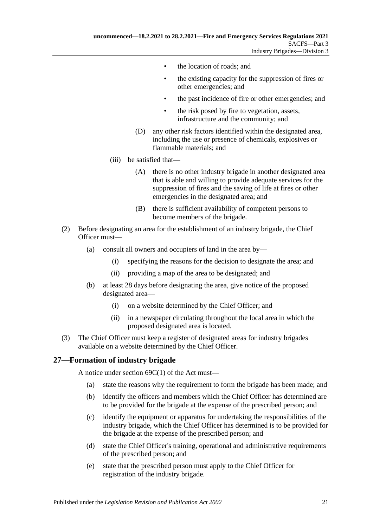- the location of roads; and
- the existing capacity for the suppression of fires or other emergencies; and
- the past incidence of fire or other emergencies; and
- the risk posed by fire to vegetation, assets, infrastructure and the community; and
- (D) any other risk factors identified within the designated area, including the use or presence of chemicals, explosives or flammable materials; and
- (iii) be satisfied that—
	- (A) there is no other industry brigade in another designated area that is able and willing to provide adequate services for the suppression of fires and the saving of life at fires or other emergencies in the designated area; and
	- (B) there is sufficient availability of competent persons to become members of the brigade.
- (2) Before designating an area for the establishment of an industry brigade, the Chief Officer must—
	- (a) consult all owners and occupiers of land in the area by—
		- (i) specifying the reasons for the decision to designate the area; and
		- (ii) providing a map of the area to be designated; and
	- (b) at least 28 days before designating the area, give notice of the proposed designated area—
		- (i) on a website determined by the Chief Officer; and
		- (ii) in a newspaper circulating throughout the local area in which the proposed designated area is located.
- (3) The Chief Officer must keep a register of designated areas for industry brigades available on a website determined by the Chief Officer.

## <span id="page-20-0"></span>**27—Formation of industry brigade**

A notice under section 69C(1) of the Act must—

- (a) state the reasons why the requirement to form the brigade has been made; and
- (b) identify the officers and members which the Chief Officer has determined are to be provided for the brigade at the expense of the prescribed person; and
- (c) identify the equipment or apparatus for undertaking the responsibilities of the industry brigade, which the Chief Officer has determined is to be provided for the brigade at the expense of the prescribed person; and
- (d) state the Chief Officer's training, operational and administrative requirements of the prescribed person; and
- (e) state that the prescribed person must apply to the Chief Officer for registration of the industry brigade.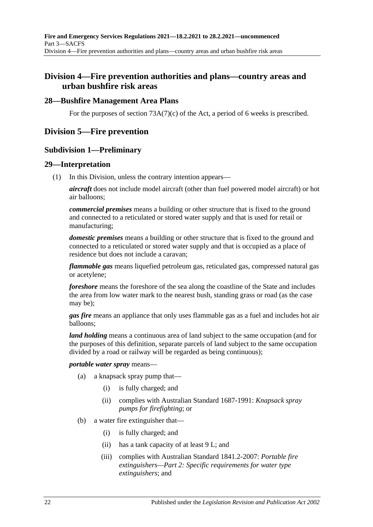## <span id="page-21-0"></span>**Division 4—Fire prevention authorities and plans—country areas and urban bushfire risk areas**

### <span id="page-21-1"></span>**28—Bushfire Management Area Plans**

For the purposes of section  $73A(7)(c)$  of the Act, a period of 6 weeks is prescribed.

## <span id="page-21-3"></span><span id="page-21-2"></span>**Division 5—Fire prevention**

#### **Subdivision 1—Preliminary**

#### <span id="page-21-4"></span>**29—Interpretation**

(1) In this Division, unless the contrary intention appears—

*aircraft* does not include model aircraft (other than fuel powered model aircraft) or hot air balloons;

*commercial premises* means a building or other structure that is fixed to the ground and connected to a reticulated or stored water supply and that is used for retail or manufacturing;

*domestic premises* means a building or other structure that is fixed to the ground and connected to a reticulated or stored water supply and that is occupied as a place of residence but does not include a caravan;

*flammable gas* means liquefied petroleum gas, reticulated gas, compressed natural gas or acetylene;

*foreshore* means the foreshore of the sea along the coastline of the State and includes the area from low water mark to the nearest bush, standing grass or road (as the case may be);

*gas fire* means an appliance that only uses flammable gas as a fuel and includes hot air balloons;

*land holding* means a continuous area of land subject to the same occupation (and for the purposes of this definition, separate parcels of land subject to the same occupation divided by a road or railway will be regarded as being continuous);

#### *portable water spray* means—

- (a) a knapsack spray pump that—
	- (i) is fully charged; and
	- (ii) complies with Australian Standard 1687-1991: *Knapsack spray pumps for firefighting*; or
- (b) a water fire extinguisher that—
	- (i) is fully charged; and
	- (ii) has a tank capacity of at least 9 L; and
	- (iii) complies with Australian Standard 1841.2-2007: *Portable fire extinguishers—Part 2: Specific requirements for water type extinguishers*; and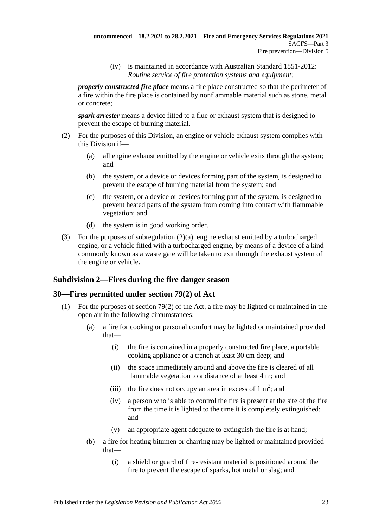(iv) is maintained in accordance with Australian Standard 1851-2012: *Routine service of fire protection systems and equipment*;

*properly constructed fire place* means a fire place constructed so that the perimeter of a fire within the fire place is contained by nonflammable material such as stone, metal or concrete;

*spark arrester* means a device fitted to a flue or exhaust system that is designed to prevent the escape of burning material.

- <span id="page-22-2"></span>(2) For the purposes of this Division, an engine or vehicle exhaust system complies with this Division if—
	- (a) all engine exhaust emitted by the engine or vehicle exits through the system; and
	- (b) the system, or a device or devices forming part of the system, is designed to prevent the escape of burning material from the system; and
	- (c) the system, or a device or devices forming part of the system, is designed to prevent heated parts of the system from coming into contact with flammable vegetation; and
	- (d) the system is in good working order.
- (3) For the purposes of [subregulation](#page-22-2) (2)(a), engine exhaust emitted by a turbocharged engine, or a vehicle fitted with a turbocharged engine, by means of a device of a kind commonly known as a waste gate will be taken to exit through the exhaust system of the engine or vehicle.

## <span id="page-22-0"></span>**Subdivision 2—Fires during the fire danger season**

## <span id="page-22-1"></span>**30—Fires permitted under section 79(2) of Act**

- <span id="page-22-4"></span><span id="page-22-3"></span>(1) For the purposes of section 79(2) of the Act, a fire may be lighted or maintained in the open air in the following circumstances:
	- (a) a fire for cooking or personal comfort may be lighted or maintained provided that—
		- (i) the fire is contained in a properly constructed fire place, a portable cooking appliance or a trench at least 30 cm deep; and
		- (ii) the space immediately around and above the fire is cleared of all flammable vegetation to a distance of at least 4 m; and
		- (iii) the fire does not occupy an area in excess of  $1 \text{ m}^2$ ; and
		- (iv) a person who is able to control the fire is present at the site of the fire from the time it is lighted to the time it is completely extinguished; and
		- (v) an appropriate agent adequate to extinguish the fire is at hand;
	- (b) a fire for heating bitumen or charring may be lighted or maintained provided that—
		- (i) a shield or guard of fire-resistant material is positioned around the fire to prevent the escape of sparks, hot metal or slag; and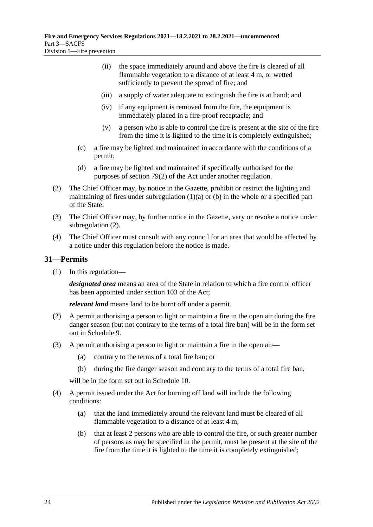- (ii) the space immediately around and above the fire is cleared of all flammable vegetation to a distance of at least 4 m, or wetted sufficiently to prevent the spread of fire; and
- (iii) a supply of water adequate to extinguish the fire is at hand; and
- (iv) if any equipment is removed from the fire, the equipment is immediately placed in a fire-proof receptacle; and
- (v) a person who is able to control the fire is present at the site of the fire from the time it is lighted to the time it is completely extinguished;
- (c) a fire may be lighted and maintained in accordance with the conditions of a permit;
- (d) a fire may be lighted and maintained if specifically authorised for the purposes of section 79(2) of the Act under another regulation.
- <span id="page-23-1"></span>(2) The Chief Officer may, by notice in the Gazette, prohibit or restrict the lighting and maintaining of fires under [subregulation](#page-22-3)  $(1)(a)$  or  $(b)$  in the whole or a specified part of the State.
- (3) The Chief Officer may, by further notice in the Gazette, vary or revoke a notice under [subregulation](#page-23-1) (2).
- (4) The Chief Officer must consult with any council for an area that would be affected by a notice under this regulation before the notice is made.

## <span id="page-23-0"></span>**31—Permits**

(1) In this regulation—

*designated area* means an area of the State in relation to which a fire control officer has been appointed under section 103 of the Act;

*relevant land* means land to be burnt off under a permit.

- (2) A permit authorising a person to light or maintain a fire in the open air during the fire danger season (but not contrary to the terms of a total fire ban) will be in the form set out in [Schedule](#page-46-1) 9.
- (3) A permit authorising a person to light or maintain a fire in the open air—
	- (a) contrary to the terms of a total fire ban; or
	- (b) during the fire danger season and contrary to the terms of a total fire ban,

will be in the form set out in [Schedule](#page-47-0) 10.

- <span id="page-23-4"></span><span id="page-23-3"></span><span id="page-23-2"></span>(4) A permit issued under the Act for burning off land will include the following conditions:
	- (a) that the land immediately around the relevant land must be cleared of all flammable vegetation to a distance of at least 4 m;
	- (b) that at least 2 persons who are able to control the fire, or such greater number of persons as may be specified in the permit, must be present at the site of the fire from the time it is lighted to the time it is completely extinguished;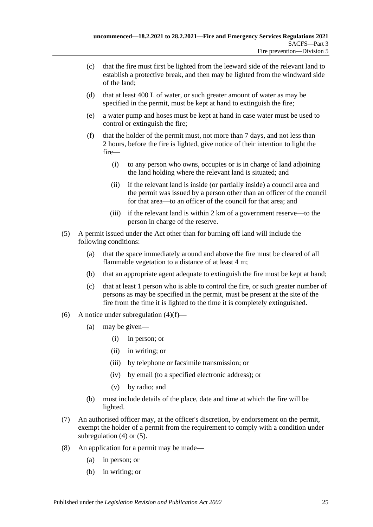- (c) that the fire must first be lighted from the leeward side of the relevant land to establish a protective break, and then may be lighted from the windward side of the land;
- <span id="page-24-2"></span>(d) that at least 400 L of water, or such greater amount of water as may be specified in the permit, must be kept at hand to extinguish the fire;
- <span id="page-24-3"></span>(e) a water pump and hoses must be kept at hand in case water must be used to control or extinguish the fire;
- <span id="page-24-0"></span>(f) that the holder of the permit must, not more than 7 days, and not less than 2 hours, before the fire is lighted, give notice of their intention to light the fire—
	- (i) to any person who owns, occupies or is in charge of land adjoining the land holding where the relevant land is situated; and
	- (ii) if the relevant land is inside (or partially inside) a council area and the permit was issued by a person other than an officer of the council for that area—to an officer of the council for that area; and
	- (iii) if the relevant land is within 2 km of a government reserve—to the person in charge of the reserve.
- <span id="page-24-5"></span><span id="page-24-4"></span><span id="page-24-1"></span>(5) A permit issued under the Act other than for burning off land will include the following conditions:
	- (a) that the space immediately around and above the fire must be cleared of all flammable vegetation to a distance of at least 4 m;
	- (b) that an appropriate agent adequate to extinguish the fire must be kept at hand;
	- (c) that at least 1 person who is able to control the fire, or such greater number of persons as may be specified in the permit, must be present at the site of the fire from the time it is lighted to the time it is completely extinguished.
- <span id="page-24-6"></span>(6) A notice under [subregulation](#page-24-0)  $(4)(f)$ —
	- (a) may be given—
		- (i) in person; or
		- (ii) in writing; or
		- (iii) by telephone or facsimile transmission; or
		- (iv) by email (to a specified electronic address); or
		- (v) by radio; and
	- (b) must include details of the place, date and time at which the fire will be lighted.
- (7) An authorised officer may, at the officer's discretion, by endorsement on the permit, exempt the holder of a permit from the requirement to comply with a condition under [subregulation](#page-23-2) (4) or [\(5\).](#page-24-1)
- (8) An application for a permit may be made—
	- (a) in person; or
	- (b) in writing; or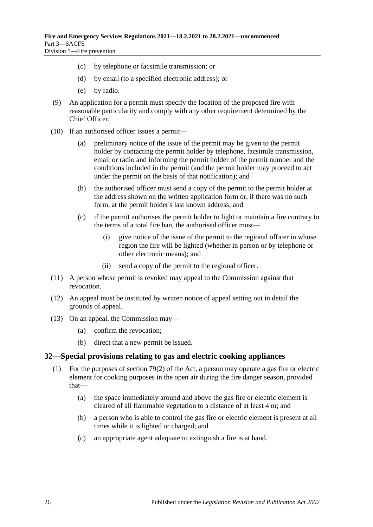- (c) by telephone or facsimile transmission; or
- (d) by email (to a specified electronic address); or
- (e) by radio.
- (9) An application for a permit must specify the location of the proposed fire with reasonable particularity and comply with any other requirement determined by the Chief Officer.
- (10) If an authorised officer issues a permit—
	- (a) preliminary notice of the issue of the permit may be given to the permit holder by contacting the permit holder by telephone, facsimile transmission, email or radio and informing the permit holder of the permit number and the conditions included in the permit (and the permit holder may proceed to act under the permit on the basis of that notification); and
	- (b) the authorised officer must send a copy of the permit to the permit holder at the address shown on the written application form or, if there was no such form, at the permit holder's last known address; and
	- (c) if the permit authorises the permit holder to light or maintain a fire contrary to the terms of a total fire ban, the authorised officer must—
		- (i) give notice of the issue of the permit to the regional officer in whose region the fire will be lighted (whether in person or by telephone or other electronic means); and
		- (ii) send a copy of the permit to the regional officer.
- (11) A person whose permit is revoked may appeal to the Commission against that revocation.
- (12) An appeal must be instituted by written notice of appeal setting out in detail the grounds of appeal.
- (13) On an appeal, the Commission may—
	- (a) confirm the revocation;
	- (b) direct that a new permit be issued.

#### <span id="page-25-1"></span><span id="page-25-0"></span>**32—Special provisions relating to gas and electric cooking appliances**

- (1) For the purposes of section 79(2) of the Act, a person may operate a gas fire or electric element for cooking purposes in the open air during the fire danger season, provided that—
	- (a) the space immediately around and above the gas fire or electric element is cleared of all flammable vegetation to a distance of at least 4 m; and
	- (b) a person who is able to control the gas fire or electric element is present at all times while it is lighted or charged; and
	- (c) an appropriate agent adequate to extinguish a fire is at hand.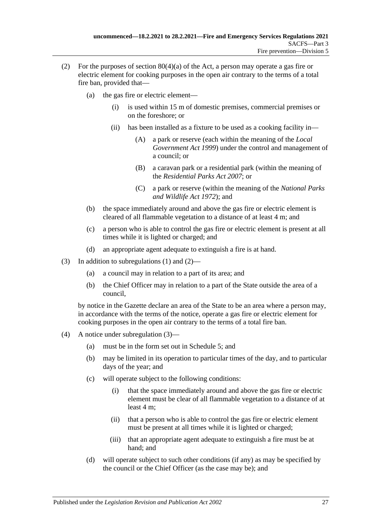- <span id="page-26-0"></span>(2) For the purposes of section  $80(4)(a)$  of the Act, a person may operate a gas fire or electric element for cooking purposes in the open air contrary to the terms of a total fire ban, provided that—
	- (a) the gas fire or electric element
		- is used within 15 m of domestic premises, commercial premises or on the foreshore; or
		- (ii) has been installed as a fixture to be used as a cooking facility in—
			- (A) a park or reserve (each within the meaning of the *[Local](http://www.legislation.sa.gov.au/index.aspx?action=legref&type=act&legtitle=Local%20Government%20Act%201999)  [Government Act](http://www.legislation.sa.gov.au/index.aspx?action=legref&type=act&legtitle=Local%20Government%20Act%201999) 1999*) under the control and management of a council; or
			- (B) a caravan park or a residential park (within the meaning of the *[Residential Parks Act](http://www.legislation.sa.gov.au/index.aspx?action=legref&type=act&legtitle=Residential%20Parks%20Act%202007) 2007*; or
			- (C) a park or reserve (within the meaning of the *[National Parks](http://www.legislation.sa.gov.au/index.aspx?action=legref&type=act&legtitle=National%20Parks%20and%20Wildlife%20Act%201972)  [and Wildlife Act](http://www.legislation.sa.gov.au/index.aspx?action=legref&type=act&legtitle=National%20Parks%20and%20Wildlife%20Act%201972) 1972*); and
	- (b) the space immediately around and above the gas fire or electric element is cleared of all flammable vegetation to a distance of at least 4 m; and
	- (c) a person who is able to control the gas fire or electric element is present at all times while it is lighted or charged; and
	- (d) an appropriate agent adequate to extinguish a fire is at hand.
- <span id="page-26-1"></span>(3) In addition to [subregulations](#page-25-1) (1) and [\(2\)—](#page-26-0)
	- (a) a council may in relation to a part of its area; and
	- (b) the Chief Officer may in relation to a part of the State outside the area of a council,

by notice in the Gazette declare an area of the State to be an area where a person may, in accordance with the terms of the notice, operate a gas fire or electric element for cooking purposes in the open air contrary to the terms of a total fire ban.

- (4) A notice under [subregulation](#page-26-1) (3)—
	- (a) must be in the form set out in [Schedule](#page-44-4) 5; and
	- (b) may be limited in its operation to particular times of the day, and to particular days of the year; and
	- (c) will operate subject to the following conditions:
		- (i) that the space immediately around and above the gas fire or electric element must be clear of all flammable vegetation to a distance of at least 4 m;
		- (ii) that a person who is able to control the gas fire or electric element must be present at all times while it is lighted or charged;
		- (iii) that an appropriate agent adequate to extinguish a fire must be at hand; and
	- (d) will operate subject to such other conditions (if any) as may be specified by the council or the Chief Officer (as the case may be); and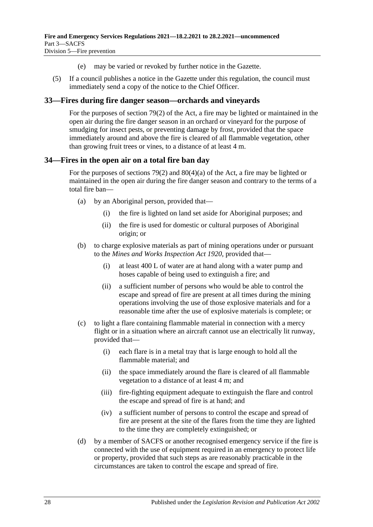- (e) may be varied or revoked by further notice in the Gazette.
- (5) If a council publishes a notice in the Gazette under this regulation, the council must immediately send a copy of the notice to the Chief Officer.

## <span id="page-27-0"></span>**33—Fires during fire danger season—orchards and vineyards**

For the purposes of section 79(2) of the Act, a fire may be lighted or maintained in the open air during the fire danger season in an orchard or vineyard for the purpose of smudging for insect pests, or preventing damage by frost, provided that the space immediately around and above the fire is cleared of all flammable vegetation, other than growing fruit trees or vines, to a distance of at least 4 m.

## <span id="page-27-1"></span>**34—Fires in the open air on a total fire ban day**

For the purposes of sections 79(2) and 80(4)(a) of the Act, a fire may be lighted or maintained in the open air during the fire danger season and contrary to the terms of a total fire ban—

- (a) by an Aboriginal person, provided that—
	- (i) the fire is lighted on land set aside for Aboriginal purposes; and
	- (ii) the fire is used for domestic or cultural purposes of Aboriginal origin; or
- (b) to charge explosive materials as part of mining operations under or pursuant to the *[Mines and Works Inspection Act](http://www.legislation.sa.gov.au/index.aspx?action=legref&type=act&legtitle=Mines%20and%20Works%20Inspection%20Act%201920) 1920*, provided that—
	- (i) at least 400 L of water are at hand along with a water pump and hoses capable of being used to extinguish a fire; and
	- (ii) a sufficient number of persons who would be able to control the escape and spread of fire are present at all times during the mining operations involving the use of those explosive materials and for a reasonable time after the use of explosive materials is complete; or
- (c) to light a flare containing flammable material in connection with a mercy flight or in a situation where an aircraft cannot use an electrically lit runway, provided that—
	- (i) each flare is in a metal tray that is large enough to hold all the flammable material; and
	- (ii) the space immediately around the flare is cleared of all flammable vegetation to a distance of at least 4 m; and
	- (iii) fire-fighting equipment adequate to extinguish the flare and control the escape and spread of fire is at hand; and
	- (iv) a sufficient number of persons to control the escape and spread of fire are present at the site of the flares from the time they are lighted to the time they are completely extinguished; or
- (d) by a member of SACFS or another recognised emergency service if the fire is connected with the use of equipment required in an emergency to protect life or property, provided that such steps as are reasonably practicable in the circumstances are taken to control the escape and spread of fire.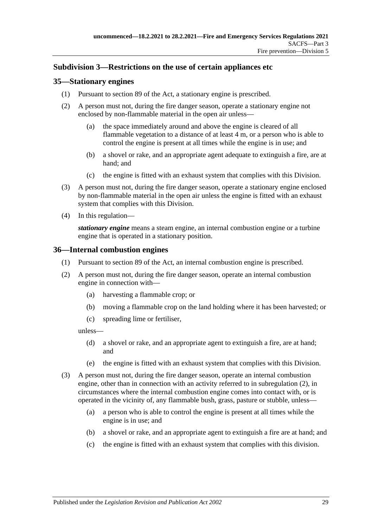## <span id="page-28-0"></span>**Subdivision 3—Restrictions on the use of certain appliances etc**

### <span id="page-28-1"></span>**35—Stationary engines**

- (1) Pursuant to section 89 of the Act, a stationary engine is prescribed.
- <span id="page-28-4"></span>(2) A person must not, during the fire danger season, operate a stationary engine not enclosed by non-flammable material in the open air unless—
	- (a) the space immediately around and above the engine is cleared of all flammable vegetation to a distance of at least 4 m, or a person who is able to control the engine is present at all times while the engine is in use; and
	- (b) a shovel or rake, and an appropriate agent adequate to extinguish a fire, are at hand; and
	- (c) the engine is fitted with an exhaust system that complies with this Division.
- (3) A person must not, during the fire danger season, operate a stationary engine enclosed by non-flammable material in the open air unless the engine is fitted with an exhaust system that complies with this Division.
- (4) In this regulation—

*stationary engine* means a steam engine, an internal combustion engine or a turbine engine that is operated in a stationary position.

#### <span id="page-28-2"></span>**36—Internal combustion engines**

- (1) Pursuant to section 89 of the Act, an internal combustion engine is prescribed.
- <span id="page-28-3"></span>(2) A person must not, during the fire danger season, operate an internal combustion engine in connection with—
	- (a) harvesting a flammable crop; or
	- (b) moving a flammable crop on the land holding where it has been harvested; or
	- (c) spreading lime or fertiliser,

<span id="page-28-5"></span>unless—

- (d) a shovel or rake, and an appropriate agent to extinguish a fire, are at hand; and
- (e) the engine is fitted with an exhaust system that complies with this Division.
- <span id="page-28-7"></span><span id="page-28-6"></span>(3) A person must not, during the fire danger season, operate an internal combustion engine, other than in connection with an activity referred to in [subregulation](#page-28-3) (2), in circumstances where the internal combustion engine comes into contact with, or is operated in the vicinity of, any flammable bush, grass, pasture or stubble, unless—
	- (a) a person who is able to control the engine is present at all times while the engine is in use; and
	- (b) a shovel or rake, and an appropriate agent to extinguish a fire are at hand; and
	- (c) the engine is fitted with an exhaust system that complies with this division.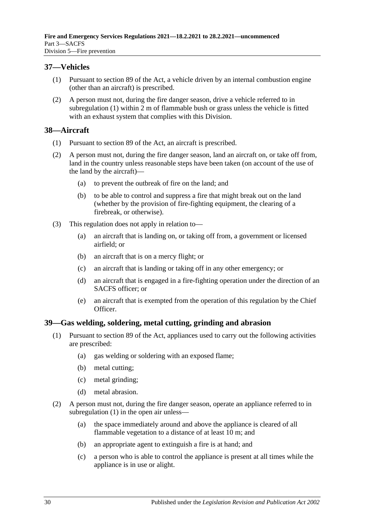## <span id="page-29-3"></span><span id="page-29-0"></span>**37—Vehicles**

- (1) Pursuant to section 89 of the Act, a vehicle driven by an internal combustion engine (other than an aircraft) is prescribed.
- (2) A person must not, during the fire danger season, drive a vehicle referred to in [subregulation](#page-29-3) (1) within 2 m of flammable bush or grass unless the vehicle is fitted with an exhaust system that complies with this Division.

#### <span id="page-29-1"></span>**38—Aircraft**

- (1) Pursuant to section 89 of the Act, an aircraft is prescribed.
- (2) A person must not, during the fire danger season, land an aircraft on, or take off from, land in the country unless reasonable steps have been taken (on account of the use of the land by the aircraft)—
	- (a) to prevent the outbreak of fire on the land; and
	- (b) to be able to control and suppress a fire that might break out on the land (whether by the provision of fire-fighting equipment, the clearing of a firebreak, or otherwise).
- (3) This regulation does not apply in relation to—
	- (a) an aircraft that is landing on, or taking off from, a government or licensed airfield; or
	- (b) an aircraft that is on a mercy flight; or
	- (c) an aircraft that is landing or taking off in any other emergency; or
	- (d) an aircraft that is engaged in a fire-fighting operation under the direction of an SACFS officer; or
	- (e) an aircraft that is exempted from the operation of this regulation by the Chief Officer.

## <span id="page-29-4"></span><span id="page-29-2"></span>**39—Gas welding, soldering, metal cutting, grinding and abrasion**

- (1) Pursuant to section 89 of the Act, appliances used to carry out the following activities are prescribed:
	- (a) gas welding or soldering with an exposed flame;
	- (b) metal cutting;
	- (c) metal grinding;
	- (d) metal abrasion.
- <span id="page-29-5"></span>(2) A person must not, during the fire danger season, operate an appliance referred to in [subregulation](#page-29-4) (1) in the open air unless—
	- (a) the space immediately around and above the appliance is cleared of all flammable vegetation to a distance of at least 10 m; and
	- (b) an appropriate agent to extinguish a fire is at hand; and
	- (c) a person who is able to control the appliance is present at all times while the appliance is in use or alight.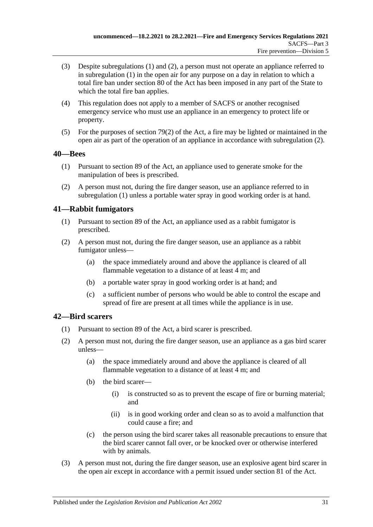- (3) Despite [subregulations](#page-29-4) (1) and [\(2\),](#page-29-5) a person must not operate an appliance referred to in [subregulation](#page-29-4) (1) in the open air for any purpose on a day in relation to which a total fire ban under section 80 of the Act has been imposed in any part of the State to which the total fire ban applies.
- (4) This regulation does not apply to a member of SACFS or another recognised emergency service who must use an appliance in an emergency to protect life or property.
- (5) For the purposes of section 79(2) of the Act, a fire may be lighted or maintained in the open air as part of the operation of an appliance in accordance with [subregulation](#page-29-5) (2).

## <span id="page-30-3"></span><span id="page-30-0"></span>**40—Bees**

- (1) Pursuant to section 89 of the Act, an appliance used to generate smoke for the manipulation of bees is prescribed.
- <span id="page-30-4"></span>(2) A person must not, during the fire danger season, use an appliance referred to in [subregulation](#page-30-3) (1) unless a portable water spray in good working order is at hand.

## <span id="page-30-1"></span>**41—Rabbit fumigators**

- (1) Pursuant to section 89 of the Act, an appliance used as a rabbit fumigator is prescribed.
- <span id="page-30-6"></span><span id="page-30-5"></span>(2) A person must not, during the fire danger season, use an appliance as a rabbit fumigator unless—
	- (a) the space immediately around and above the appliance is cleared of all flammable vegetation to a distance of at least  $\overline{4}$  m; and
	- (b) a portable water spray in good working order is at hand; and
	- (c) a sufficient number of persons who would be able to control the escape and spread of fire are present at all times while the appliance is in use.

## <span id="page-30-7"></span><span id="page-30-2"></span>**42—Bird scarers**

- (1) Pursuant to section 89 of the Act, a bird scarer is prescribed.
- <span id="page-30-8"></span>(2) A person must not, during the fire danger season, use an appliance as a gas bird scarer unless—
	- (a) the space immediately around and above the appliance is cleared of all flammable vegetation to a distance of at least 4 m; and
	- (b) the bird scarer—
		- (i) is constructed so as to prevent the escape of fire or burning material; and
		- (ii) is in good working order and clean so as to avoid a malfunction that could cause a fire; and
	- (c) the person using the bird scarer takes all reasonable precautions to ensure that the bird scarer cannot fall over, or be knocked over or otherwise interfered with by animals.
- <span id="page-30-9"></span>(3) A person must not, during the fire danger season, use an explosive agent bird scarer in the open air except in accordance with a permit issued under section 81 of the Act.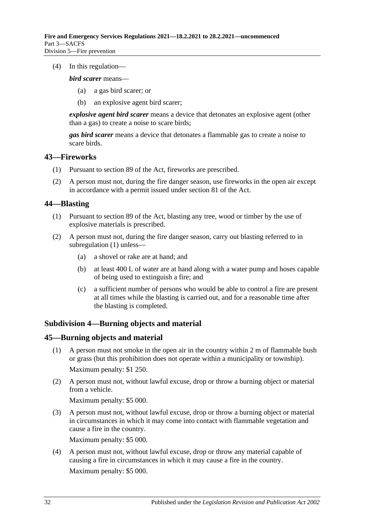(4) In this regulation—

*bird scarer* means—

- (a) a gas bird scarer; or
- (b) an explosive agent bird scarer;

*explosive agent bird scarer* means a device that detonates an explosive agent (other than a gas) to create a noise to scare birds;

*gas bird scarer* means a device that detonates a flammable gas to create a noise to scare birds.

#### <span id="page-31-0"></span>**43—Fireworks**

- (1) Pursuant to section 89 of the Act, fireworks are prescribed.
- (2) A person must not, during the fire danger season, use fireworks in the open air except in accordance with a permit issued under section 81 of the Act.

## <span id="page-31-4"></span><span id="page-31-1"></span>**44—Blasting**

- (1) Pursuant to section 89 of the Act, blasting any tree, wood or timber by the use of explosive materials is prescribed.
- <span id="page-31-5"></span>(2) A person must not, during the fire danger season, carry out blasting referred to in [subregulation](#page-31-4) (1) unless—
	- (a) a shovel or rake are at hand; and
	- (b) at least 400 L of water are at hand along with a water pump and hoses capable of being used to extinguish a fire; and
	- (c) a sufficient number of persons who would be able to control a fire are present at all times while the blasting is carried out, and for a reasonable time after the blasting is completed.

## <span id="page-31-2"></span>**Subdivision 4—Burning objects and material**

#### <span id="page-31-6"></span><span id="page-31-3"></span>**45—Burning objects and material**

- (1) A person must not smoke in the open air in the country within 2 m of flammable bush or grass (but this prohibition does not operate within a municipality or township). Maximum penalty: \$1 250.
- <span id="page-31-7"></span>(2) A person must not, without lawful excuse, drop or throw a burning object or material from a vehicle.

Maximum penalty: \$5 000.

<span id="page-31-8"></span>(3) A person must not, without lawful excuse, drop or throw a burning object or material in circumstances in which it may come into contact with flammable vegetation and cause a fire in the country.

Maximum penalty: \$5 000.

<span id="page-31-9"></span>(4) A person must not, without lawful excuse, drop or throw any material capable of causing a fire in circumstances in which it may cause a fire in the country. Maximum penalty: \$5 000.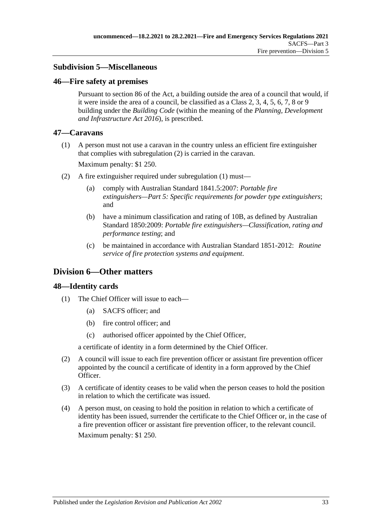## <span id="page-32-0"></span>**Subdivision 5—Miscellaneous**

#### <span id="page-32-1"></span>**46—Fire safety at premises**

Pursuant to section 86 of the Act, a building outside the area of a council that would, if it were inside the area of a council, be classified as a Class 2, 3, 4, 5, 6, 7, 8 or 9 building under the *Building Code* (within the meaning of the *[Planning, Development](http://www.legislation.sa.gov.au/index.aspx?action=legref&type=act&legtitle=Planning%20Development%20and%20Infrastructure%20Act%202016)  [and Infrastructure Act](http://www.legislation.sa.gov.au/index.aspx?action=legref&type=act&legtitle=Planning%20Development%20and%20Infrastructure%20Act%202016) 2016*), is prescribed.

#### <span id="page-32-6"></span><span id="page-32-2"></span>**47—Caravans**

(1) A person must not use a caravan in the country unless an efficient fire extinguisher that complies with [subregulation](#page-32-5) (2) is carried in the caravan.

Maximum penalty: \$1 250.

- <span id="page-32-5"></span>(2) A fire extinguisher required under [subregulation](#page-32-6) (1) must—
	- (a) comply with Australian Standard 1841.5:2007: *Portable fire extinguishers—Part 5: Specific requirements for powder type extinguishers*; and
	- (b) have a minimum classification and rating of 10B, as defined by Australian Standard 1850:2009: *Portable fire extinguishers—Classification, rating and performance testing*; and
	- (c) be maintained in accordance with Australian Standard 1851-2012: *Routine service of fire protection systems and equipment*.

## <span id="page-32-3"></span>**Division 6—Other matters**

## <span id="page-32-4"></span>**48—Identity cards**

- (1) The Chief Officer will issue to each—
	- (a) SACFS officer; and
	- (b) fire control officer; and
	- (c) authorised officer appointed by the Chief Officer,

a certificate of identity in a form determined by the Chief Officer.

- (2) A council will issue to each fire prevention officer or assistant fire prevention officer appointed by the council a certificate of identity in a form approved by the Chief Officer.
- (3) A certificate of identity ceases to be valid when the person ceases to hold the position in relation to which the certificate was issued.
- (4) A person must, on ceasing to hold the position in relation to which a certificate of identity has been issued, surrender the certificate to the Chief Officer or, in the case of a fire prevention officer or assistant fire prevention officer, to the relevant council. Maximum penalty: \$1 250.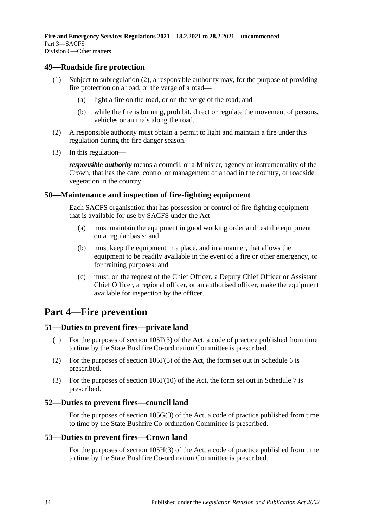#### <span id="page-33-0"></span>**49—Roadside fire protection**

- (1) Subject to [subregulation](#page-33-6) (2), a responsible authority may, for the purpose of providing fire protection on a road, or the verge of a road—
	- (a) light a fire on the road, or on the verge of the road; and
	- (b) while the fire is burning, prohibit, direct or regulate the movement of persons, vehicles or animals along the road.
- <span id="page-33-6"></span>(2) A responsible authority must obtain a permit to light and maintain a fire under this regulation during the fire danger season.
- (3) In this regulation—

*responsible authority* means a council, or a Minister, agency or instrumentality of the Crown, that has the care, control or management of a road in the country, or roadside vegetation in the country.

#### <span id="page-33-1"></span>**50—Maintenance and inspection of fire-fighting equipment**

Each SACFS organisation that has possession or control of fire-fighting equipment that is available for use by SACFS under the Act—

- (a) must maintain the equipment in good working order and test the equipment on a regular basis; and
- (b) must keep the equipment in a place, and in a manner, that allows the equipment to be readily available in the event of a fire or other emergency, or for training purposes; and
- (c) must, on the request of the Chief Officer, a Deputy Chief Officer or Assistant Chief Officer, a regional officer, or an authorised officer, make the equipment available for inspection by the officer.

## <span id="page-33-2"></span>**Part 4—Fire prevention**

#### <span id="page-33-3"></span>**51—Duties to prevent fires—private land**

- (1) For the purposes of section 105F(3) of the Act, a code of practice published from time to time by the State Bushfire Co-ordination Committee is prescribed.
- (2) For the purposes of section 105F(5) of the Act, the form set out in [Schedule](#page-45-0) 6 is prescribed.
- (3) For the purposes of section 105F(10) of the Act, the form set out in [Schedule](#page-46-0) 7 is prescribed.

#### <span id="page-33-4"></span>**52—Duties to prevent fires—council land**

For the purposes of section 105G(3) of the Act, a code of practice published from time to time by the State Bushfire Co-ordination Committee is prescribed.

#### <span id="page-33-5"></span>**53—Duties to prevent fires—Crown land**

For the purposes of section 105H(3) of the Act, a code of practice published from time to time by the State Bushfire Co-ordination Committee is prescribed.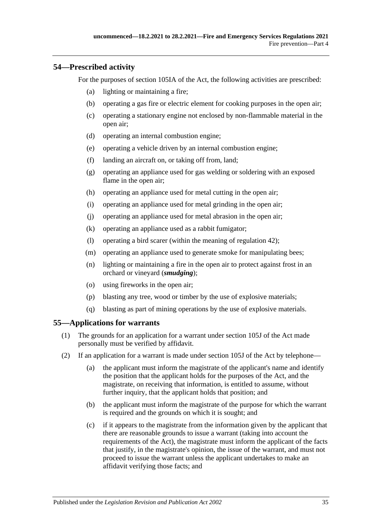## <span id="page-34-0"></span>**54—Prescribed activity**

For the purposes of section 105IA of the Act, the following activities are prescribed:

- (a) lighting or maintaining a fire;
- (b) operating a gas fire or electric element for cooking purposes in the open air;
- (c) operating a stationary engine not enclosed by non-flammable material in the open air;
- (d) operating an internal combustion engine;
- (e) operating a vehicle driven by an internal combustion engine;
- (f) landing an aircraft on, or taking off from, land;
- (g) operating an appliance used for gas welding or soldering with an exposed flame in the open air;
- (h) operating an appliance used for metal cutting in the open air;
- (i) operating an appliance used for metal grinding in the open air;
- (j) operating an appliance used for metal abrasion in the open air;
- (k) operating an appliance used as a rabbit fumigator;
- (l) operating a bird scarer (within the meaning of [regulation](#page-30-2) 42);
- (m) operating an appliance used to generate smoke for manipulating bees;
- (n) lighting or maintaining a fire in the open air to protect against frost in an orchard or vineyard (*smudging*);
- (o) using fireworks in the open air;
- (p) blasting any tree, wood or timber by the use of explosive materials;
- (q) blasting as part of mining operations by the use of explosive materials.

## <span id="page-34-1"></span>**55—Applications for warrants**

- (1) The grounds for an application for a warrant under section 105J of the Act made personally must be verified by affidavit.
- <span id="page-34-2"></span>(2) If an application for a warrant is made under section 105J of the Act by telephone—
	- (a) the applicant must inform the magistrate of the applicant's name and identify the position that the applicant holds for the purposes of the Act, and the magistrate, on receiving that information, is entitled to assume, without further inquiry, that the applicant holds that position; and
	- (b) the applicant must inform the magistrate of the purpose for which the warrant is required and the grounds on which it is sought; and
	- (c) if it appears to the magistrate from the information given by the applicant that there are reasonable grounds to issue a warrant (taking into account the requirements of the Act), the magistrate must inform the applicant of the facts that justify, in the magistrate's opinion, the issue of the warrant, and must not proceed to issue the warrant unless the applicant undertakes to make an affidavit verifying those facts; and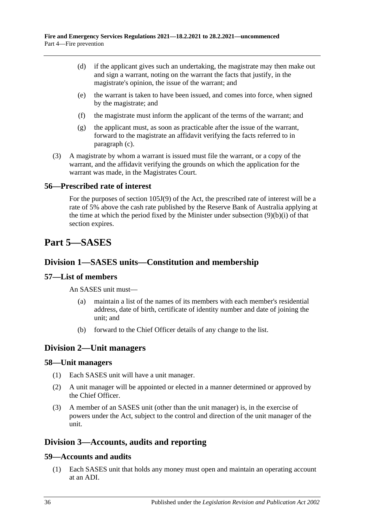- (d) if the applicant gives such an undertaking, the magistrate may then make out and sign a warrant, noting on the warrant the facts that justify, in the magistrate's opinion, the issue of the warrant; and
- (e) the warrant is taken to have been issued, and comes into force, when signed by the magistrate; and
- (f) the magistrate must inform the applicant of the terms of the warrant; and
- (g) the applicant must, as soon as practicable after the issue of the warrant, forward to the magistrate an affidavit verifying the facts referred to in [paragraph](#page-34-2) (c).
- (3) A magistrate by whom a warrant is issued must file the warrant, or a copy of the warrant, and the affidavit verifying the grounds on which the application for the warrant was made, in the Magistrates Court.

#### <span id="page-35-0"></span>**56—Prescribed rate of interest**

For the purposes of section 105J(9) of the Act, the prescribed rate of interest will be a rate of 5% above the cash rate published by the Reserve Bank of Australia applying at the time at which the period fixed by the Minister under subsection (9)(b)(i) of that section expires.

## <span id="page-35-1"></span>**Part 5—SASES**

## <span id="page-35-2"></span>**Division 1—SASES units—Constitution and membership**

## <span id="page-35-3"></span>**57—List of members**

An SASES unit must—

- (a) maintain a list of the names of its members with each member's residential address, date of birth, certificate of identity number and date of joining the unit; and
- (b) forward to the Chief Officer details of any change to the list.

## <span id="page-35-4"></span>**Division 2—Unit managers**

#### <span id="page-35-5"></span>**58—Unit managers**

- (1) Each SASES unit will have a unit manager.
- (2) A unit manager will be appointed or elected in a manner determined or approved by the Chief Officer.
- (3) A member of an SASES unit (other than the unit manager) is, in the exercise of powers under the Act, subject to the control and direction of the unit manager of the unit.

## <span id="page-35-6"></span>**Division 3—Accounts, audits and reporting**

## <span id="page-35-7"></span>**59—Accounts and audits**

(1) Each SASES unit that holds any money must open and maintain an operating account at an ADI.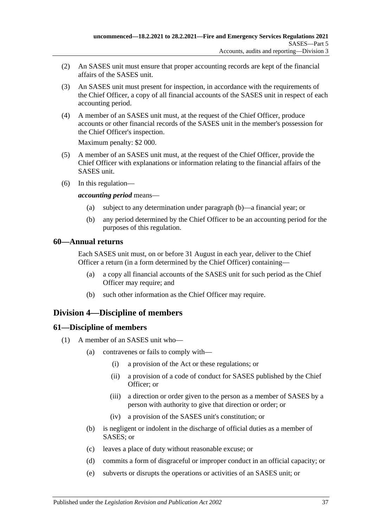- (2) An SASES unit must ensure that proper accounting records are kept of the financial affairs of the SASES unit.
- (3) An SASES unit must present for inspection, in accordance with the requirements of the Chief Officer, a copy of all financial accounts of the SASES unit in respect of each accounting period.
- (4) A member of an SASES unit must, at the request of the Chief Officer, produce accounts or other financial records of the SASES unit in the member's possession for the Chief Officer's inspection.

Maximum penalty: \$2 000.

- (5) A member of an SASES unit must, at the request of the Chief Officer, provide the Chief Officer with explanations or information relating to the financial affairs of the SASES unit.
- (6) In this regulation—

*accounting period* means—

- (a) subject to any determination under [paragraph](#page-36-3) (b)—a financial year; or
- (b) any period determined by the Chief Officer to be an accounting period for the purposes of this regulation.

#### <span id="page-36-3"></span><span id="page-36-0"></span>**60—Annual returns**

Each SASES unit must, on or before 31 August in each year, deliver to the Chief Officer a return (in a form determined by the Chief Officer) containing—

- (a) a copy all financial accounts of the SASES unit for such period as the Chief Officer may require; and
- (b) such other information as the Chief Officer may require.

## <span id="page-36-1"></span>**Division 4—Discipline of members**

## <span id="page-36-2"></span>**61—Discipline of members**

- (1) A member of an SASES unit who—
	- (a) contravenes or fails to comply with—
		- (i) a provision of the Act or these regulations; or
		- (ii) a provision of a code of conduct for SASES published by the Chief Officer; or
		- (iii) a direction or order given to the person as a member of SASES by a person with authority to give that direction or order; or
		- (iv) a provision of the SASES unit's constitution; or
	- (b) is negligent or indolent in the discharge of official duties as a member of SASES; or
	- (c) leaves a place of duty without reasonable excuse; or
	- (d) commits a form of disgraceful or improper conduct in an official capacity; or
	- (e) subverts or disrupts the operations or activities of an SASES unit; or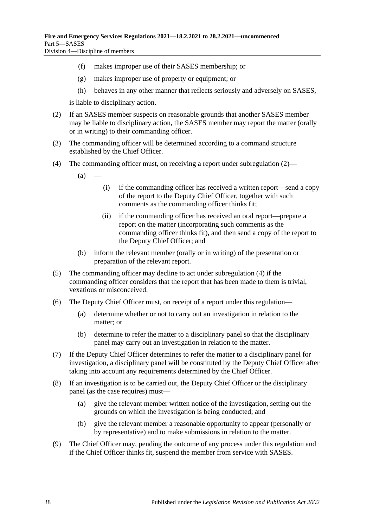- (f) makes improper use of their SASES membership; or
- (g) makes improper use of property or equipment; or
- (h) behaves in any other manner that reflects seriously and adversely on SASES,

is liable to disciplinary action.

- <span id="page-37-0"></span>(2) If an SASES member suspects on reasonable grounds that another SASES member may be liable to disciplinary action, the SASES member may report the matter (orally or in writing) to their commanding officer.
- (3) The commanding officer will be determined according to a command structure established by the Chief Officer.
- <span id="page-37-1"></span>(4) The commanding officer must, on receiving a report under [subregulation](#page-37-0) (2)—
	- $(a)$
- (i) if the commanding officer has received a written report—send a copy of the report to the Deputy Chief Officer, together with such comments as the commanding officer thinks fit;
- (ii) if the commanding officer has received an oral report—prepare a report on the matter (incorporating such comments as the commanding officer thinks fit), and then send a copy of the report to the Deputy Chief Officer; and
- (b) inform the relevant member (orally or in writing) of the presentation or preparation of the relevant report.
- (5) The commanding officer may decline to act under [subregulation](#page-37-1) (4) if the commanding officer considers that the report that has been made to them is trivial, vexatious or misconceived.
- (6) The Deputy Chief Officer must, on receipt of a report under this regulation—
	- (a) determine whether or not to carry out an investigation in relation to the matter; or
	- (b) determine to refer the matter to a disciplinary panel so that the disciplinary panel may carry out an investigation in relation to the matter.
- (7) If the Deputy Chief Officer determines to refer the matter to a disciplinary panel for investigation, a disciplinary panel will be constituted by the Deputy Chief Officer after taking into account any requirements determined by the Chief Officer.
- (8) If an investigation is to be carried out, the Deputy Chief Officer or the disciplinary panel (as the case requires) must—
	- (a) give the relevant member written notice of the investigation, setting out the grounds on which the investigation is being conducted; and
	- (b) give the relevant member a reasonable opportunity to appear (personally or by representative) and to make submissions in relation to the matter.
- (9) The Chief Officer may, pending the outcome of any process under this regulation and if the Chief Officer thinks fit, suspend the member from service with SASES.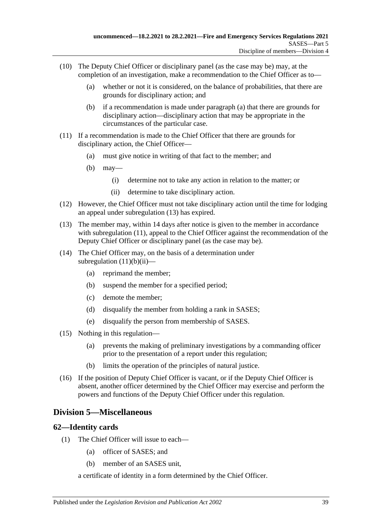- <span id="page-38-2"></span>(10) The Deputy Chief Officer or disciplinary panel (as the case may be) may, at the completion of an investigation, make a recommendation to the Chief Officer as to—
	- (a) whether or not it is considered, on the balance of probabilities, that there are grounds for disciplinary action; and
	- (b) if a recommendation is made under [paragraph](#page-38-2) (a) that there are grounds for disciplinary action—disciplinary action that may be appropriate in the circumstances of the particular case.
- <span id="page-38-4"></span>(11) If a recommendation is made to the Chief Officer that there are grounds for disciplinary action, the Chief Officer—
	- (a) must give notice in writing of that fact to the member; and
	- (b) may—
		- (i) determine not to take any action in relation to the matter; or
		- (ii) determine to take disciplinary action.
- <span id="page-38-5"></span>(12) However, the Chief Officer must not take disciplinary action until the time for lodging an appeal under [subregulation](#page-38-3) (13) has expired.
- <span id="page-38-3"></span>(13) The member may, within 14 days after notice is given to the member in accordance with [subregulation](#page-38-4) (11), appeal to the Chief Officer against the recommendation of the Deputy Chief Officer or disciplinary panel (as the case may be).
- (14) The Chief Officer may, on the basis of a determination under [subregulation](#page-38-5)  $(11)(b)(ii)$ —
	- (a) reprimand the member;
	- (b) suspend the member for a specified period;
	- (c) demote the member;
	- (d) disqualify the member from holding a rank in SASES;
	- (e) disqualify the person from membership of SASES.
- (15) Nothing in this regulation—
	- (a) prevents the making of preliminary investigations by a commanding officer prior to the presentation of a report under this regulation;
	- (b) limits the operation of the principles of natural justice.
- (16) If the position of Deputy Chief Officer is vacant, or if the Deputy Chief Officer is absent, another officer determined by the Chief Officer may exercise and perform the powers and functions of the Deputy Chief Officer under this regulation.

## <span id="page-38-0"></span>**Division 5—Miscellaneous**

## <span id="page-38-1"></span>**62—Identity cards**

- (1) The Chief Officer will issue to each—
	- (a) officer of SASES; and
	- (b) member of an SASES unit,

a certificate of identity in a form determined by the Chief Officer.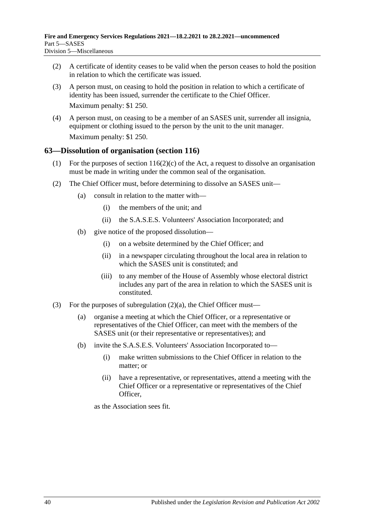- (2) A certificate of identity ceases to be valid when the person ceases to hold the position in relation to which the certificate was issued.
- (3) A person must, on ceasing to hold the position in relation to which a certificate of identity has been issued, surrender the certificate to the Chief Officer. Maximum penalty: \$1 250.
- (4) A person must, on ceasing to be a member of an SASES unit, surrender all insignia, equipment or clothing issued to the person by the unit to the unit manager. Maximum penalty: \$1 250.

#### <span id="page-39-0"></span>**63—Dissolution of organisation (section 116)**

- (1) For the purposes of section  $116(2)(c)$  of the Act, a request to dissolve an organisation must be made in writing under the common seal of the organisation.
- <span id="page-39-1"></span>(2) The Chief Officer must, before determining to dissolve an SASES unit—
	- (a) consult in relation to the matter with—
		- (i) the members of the unit; and
		- (ii) the S.A.S.E.S. Volunteers' Association Incorporated; and
	- (b) give notice of the proposed dissolution—
		- (i) on a website determined by the Chief Officer; and
		- (ii) in a newspaper circulating throughout the local area in relation to which the SASES unit is constituted; and
		- (iii) to any member of the House of Assembly whose electoral district includes any part of the area in relation to which the SASES unit is constituted.
- (3) For the purposes of [subregulation](#page-39-1)  $(2)(a)$ , the Chief Officer must—
	- (a) organise a meeting at which the Chief Officer, or a representative or representatives of the Chief Officer, can meet with the members of the SASES unit (or their representative or representatives); and
	- (b) invite the S.A.S.E.S. Volunteers' Association Incorporated to—
		- (i) make written submissions to the Chief Officer in relation to the matter; or
		- (ii) have a representative, or representatives, attend a meeting with the Chief Officer or a representative or representatives of the Chief Officer,

as the Association sees fit.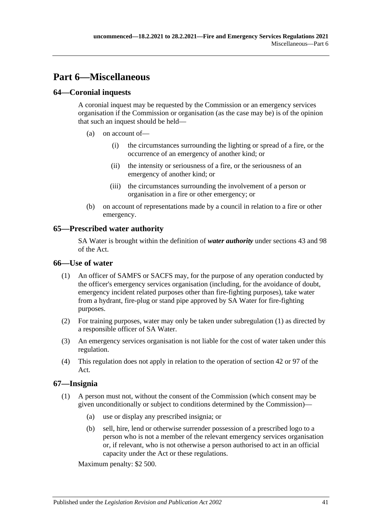# <span id="page-40-0"></span>**Part 6—Miscellaneous**

## <span id="page-40-1"></span>**64—Coronial inquests**

A coronial inquest may be requested by the Commission or an emergency services organisation if the Commission or organisation (as the case may be) is of the opinion that such an inquest should be held—

- (a) on account of—
	- (i) the circumstances surrounding the lighting or spread of a fire, or the occurrence of an emergency of another kind; or
	- (ii) the intensity or seriousness of a fire, or the seriousness of an emergency of another kind; or
	- (iii) the circumstances surrounding the involvement of a person or organisation in a fire or other emergency; or
- (b) on account of representations made by a council in relation to a fire or other emergency.

## <span id="page-40-2"></span>**65—Prescribed water authority**

SA Water is brought within the definition of *water authority* under sections 43 and 98 of the Act.

#### <span id="page-40-5"></span><span id="page-40-3"></span>**66—Use of water**

- (1) An officer of SAMFS or SACFS may, for the purpose of any operation conducted by the officer's emergency services organisation (including, for the avoidance of doubt, emergency incident related purposes other than fire-fighting purposes), take water from a hydrant, fire-plug or stand pipe approved by SA Water for fire-fighting purposes.
- (2) For training purposes, water may only be taken under [subregulation](#page-40-5) (1) as directed by a responsible officer of SA Water.
- (3) An emergency services organisation is not liable for the cost of water taken under this regulation.
- (4) This regulation does not apply in relation to the operation of section 42 or 97 of the Act.

## <span id="page-40-4"></span>**67—Insignia**

- (1) A person must not, without the consent of the Commission (which consent may be given unconditionally or subject to conditions determined by the Commission)—
	- (a) use or display any prescribed insignia; or
	- (b) sell, hire, lend or otherwise surrender possession of a prescribed logo to a person who is not a member of the relevant emergency services organisation or, if relevant, who is not otherwise a person authorised to act in an official capacity under the Act or these regulations.

Maximum penalty: \$2 500.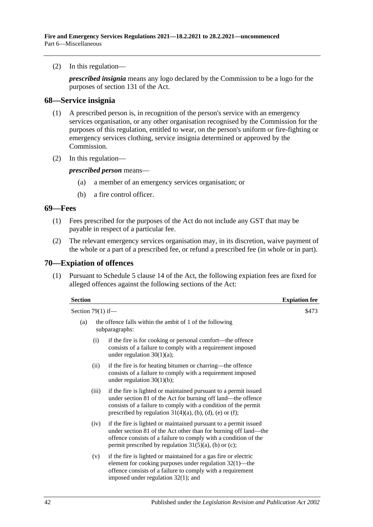(2) In this regulation—

*prescribed insignia* means any logo declared by the Commission to be a logo for the purposes of section 131 of the Act.

#### <span id="page-41-0"></span>**68—Service insignia**

- (1) A prescribed person is, in recognition of the person's service with an emergency services organisation, or any other organisation recognised by the Commission for the purposes of this regulation, entitled to wear, on the person's uniform or fire-fighting or emergency services clothing, service insignia determined or approved by the Commission.
- (2) In this regulation—

#### *prescribed person* means—

- (a) a member of an emergency services organisation; or
- (b) a fire control officer.

#### <span id="page-41-1"></span>**69—Fees**

- (1) Fees prescribed for the purposes of the Act do not include any GST that may be payable in respect of a particular fee.
- (2) The relevant emergency services organisation may, in its discretion, waive payment of the whole or a part of a prescribed fee, or refund a prescribed fee (in whole or in part).

#### <span id="page-41-2"></span>**70—Expiation of offences**

(1) Pursuant to Schedule 5 clause 14 of the Act, the following expiation fees are fixed for alleged offences against the following sections of the Act:

| <b>Section</b>      |                                                                                                                                                                                                                                                                    | <b>Expiation fee</b> |
|---------------------|--------------------------------------------------------------------------------------------------------------------------------------------------------------------------------------------------------------------------------------------------------------------|----------------------|
| Section $79(1)$ if- |                                                                                                                                                                                                                                                                    | \$473                |
| (a)                 | the offence falls within the ambit of 1 of the following<br>subparagraphs:                                                                                                                                                                                         |                      |
| (i)                 | if the fire is for cooking or personal comfort—the offence<br>consists of a failure to comply with a requirement imposed<br>under regulation $30(1)(a)$ ;                                                                                                          |                      |
| (ii)                | if the fire is for heating bitumen or charring—the offence<br>consists of a failure to comply with a requirement imposed<br>under regulation $30(1)(b)$ ;                                                                                                          |                      |
| (iii)               | if the fire is lighted or maintained pursuant to a permit issued<br>under section 81 of the Act for burning off land—the offence<br>consists of a failure to comply with a condition of the permit<br>prescribed by regulation $31(4)(a)$ , (b), (d), (e) or (f);  |                      |
| (iv)                | if the fire is lighted or maintained pursuant to a permit issued<br>under section 81 of the Act other than for burning off land—the<br>offence consists of a failure to comply with a condition of the<br>permit prescribed by regulation $31(5)(a)$ , (b) or (c); |                      |
| (v)                 | if the fire is lighted or maintained for a gas fire or electric<br>element for cooking purposes under regulation $32(1)$ —the<br>offence consists of a failure to comply with a requirement<br>imposed under regulation $32(1)$ ; and                              |                      |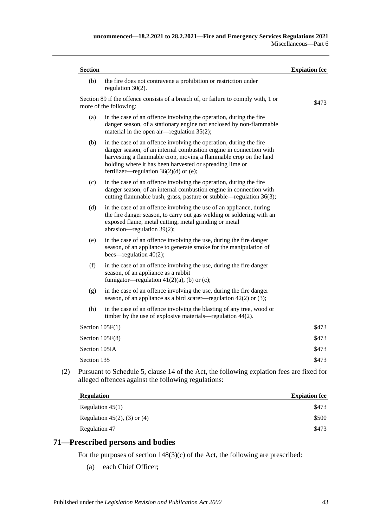| (b)               | the fire does not contravene a prohibition or restriction under<br>regulation $30(2)$ .                                                                                                                                                                                                                              |       |
|-------------------|----------------------------------------------------------------------------------------------------------------------------------------------------------------------------------------------------------------------------------------------------------------------------------------------------------------------|-------|
|                   | Section 89 if the offence consists of a breach of, or failure to comply with, 1 or<br>more of the following:                                                                                                                                                                                                         | \$473 |
| (a)               | in the case of an offence involving the operation, during the fire<br>danger season, of a stationary engine not enclosed by non-flammable<br>material in the open air—regulation $35(2)$ ;                                                                                                                           |       |
| (b)               | in the case of an offence involving the operation, during the fire<br>danger season, of an internal combustion engine in connection with<br>harvesting a flammable crop, moving a flammable crop on the land<br>holding where it has been harvested or spreading lime or<br>fertilizer—regulation $36(2)(d)$ or (e); |       |
| (c)               | in the case of an offence involving the operation, during the fire<br>danger season, of an internal combustion engine in connection with<br>cutting flammable bush, grass, pasture or stubble—regulation 36(3);                                                                                                      |       |
| (d)               | in the case of an offence involving the use of an appliance, during<br>the fire danger season, to carry out gas welding or soldering with an<br>exposed flame, metal cutting, metal grinding or metal<br>abrasion—regulation 39(2);                                                                                  |       |
| (e)               | in the case of an offence involving the use, during the fire danger<br>season, of an appliance to generate smoke for the manipulation of<br>bees—regulation $40(2)$ ;                                                                                                                                                |       |
| (f)               | in the case of an offence involving the use, during the fire danger<br>season, of an appliance as a rabbit<br>fumigator—regulation $41(2)(a)$ , (b) or (c);                                                                                                                                                          |       |
| (g)               | in the case of an offence involving the use, during the fire danger<br>season, of an appliance as a bird scare r—regulation $42(2)$ or (3);                                                                                                                                                                          |       |
| (h)               | in the case of an offence involving the blasting of any tree, wood or<br>timber by the use of explosive materials—regulation 44(2).                                                                                                                                                                                  |       |
| Section $105F(1)$ |                                                                                                                                                                                                                                                                                                                      | \$473 |
| Section 105F(8)   |                                                                                                                                                                                                                                                                                                                      | \$473 |
| Section 105IA     |                                                                                                                                                                                                                                                                                                                      | \$473 |
| Section 135       |                                                                                                                                                                                                                                                                                                                      | \$473 |

| <b>Regulation</b>               | <b>Expiation fee</b> |  |
|---------------------------------|----------------------|--|
| Regulation $45(1)$              | \$473                |  |
| Regulation $45(2)$ , (3) or (4) | \$500                |  |
| Regulation 47                   | \$473                |  |

## <span id="page-42-0"></span>**71—Prescribed persons and bodies**

For the purposes of section 148(3)(c) of the Act, the following are prescribed:

(a) each Chief Officer;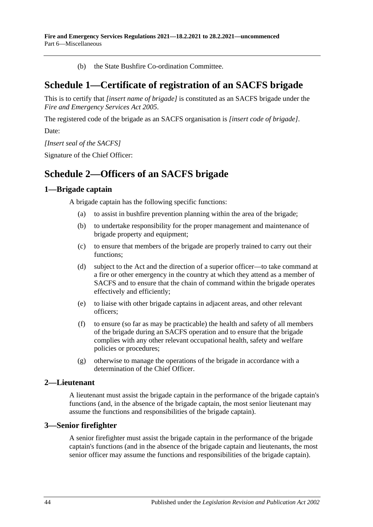(b) the State Bushfire Co-ordination Committee.

# <span id="page-43-0"></span>**Schedule 1—Certificate of registration of an SACFS brigade**

This is to certify that *[insert name of brigade]* is constituted as an SACFS brigade under the *[Fire and Emergency Services Act](http://www.legislation.sa.gov.au/index.aspx?action=legref&type=act&legtitle=Fire%20and%20Emergency%20Services%20Act%202005) 2005*.

The registered code of the brigade as an SACFS organisation is *[insert code of brigade]*.

Date:

*[Insert seal of the SACFS]*

<span id="page-43-1"></span>Signature of the Chief Officer:

## **Schedule 2—Officers of an SACFS brigade**

## <span id="page-43-2"></span>**1—Brigade captain**

A brigade captain has the following specific functions:

- (a) to assist in bushfire prevention planning within the area of the brigade;
- (b) to undertake responsibility for the proper management and maintenance of brigade property and equipment;
- (c) to ensure that members of the brigade are properly trained to carry out their functions;
- (d) subject to the Act and the direction of a superior officer—to take command at a fire or other emergency in the country at which they attend as a member of SACFS and to ensure that the chain of command within the brigade operates effectively and efficiently;
- (e) to liaise with other brigade captains in adjacent areas, and other relevant officers;
- (f) to ensure (so far as may be practicable) the health and safety of all members of the brigade during an SACFS operation and to ensure that the brigade complies with any other relevant occupational health, safety and welfare policies or procedures;
- (g) otherwise to manage the operations of the brigade in accordance with a determination of the Chief Officer.

## <span id="page-43-3"></span>**2—Lieutenant**

A lieutenant must assist the brigade captain in the performance of the brigade captain's functions (and, in the absence of the brigade captain, the most senior lieutenant may assume the functions and responsibilities of the brigade captain).

## <span id="page-43-4"></span>**3—Senior firefighter**

A senior firefighter must assist the brigade captain in the performance of the brigade captain's functions (and in the absence of the brigade captain and lieutenants, the most senior officer may assume the functions and responsibilities of the brigade captain).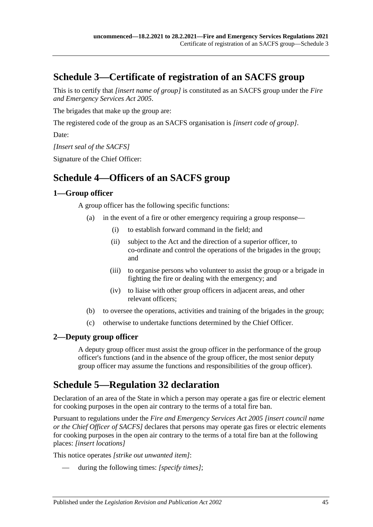# <span id="page-44-0"></span>**Schedule 3—Certificate of registration of an SACFS group**

This is to certify that *[insert name of group]* is constituted as an SACFS group under the *[Fire](http://www.legislation.sa.gov.au/index.aspx?action=legref&type=act&legtitle=Fire%20and%20Emergency%20Services%20Act%202005)  [and Emergency Services Act](http://www.legislation.sa.gov.au/index.aspx?action=legref&type=act&legtitle=Fire%20and%20Emergency%20Services%20Act%202005) 2005*.

The brigades that make up the group are:

The registered code of the group as an SACFS organisation is *[insert code of group]*.

Date:

*[Insert seal of the SACFS]*

<span id="page-44-1"></span>Signature of the Chief Officer:

# **Schedule 4—Officers of an SACFS group**

## <span id="page-44-2"></span>**1—Group officer**

A group officer has the following specific functions:

- (a) in the event of a fire or other emergency requiring a group response—
	- (i) to establish forward command in the field; and
	- (ii) subject to the Act and the direction of a superior officer, to co-ordinate and control the operations of the brigades in the group; and
	- (iii) to organise persons who volunteer to assist the group or a brigade in fighting the fire or dealing with the emergency; and
	- (iv) to liaise with other group officers in adjacent areas, and other relevant officers;
- (b) to oversee the operations, activities and training of the brigades in the group;
- (c) otherwise to undertake functions determined by the Chief Officer.

## <span id="page-44-3"></span>**2—Deputy group officer**

A deputy group officer must assist the group officer in the performance of the group officer's functions (and in the absence of the group officer, the most senior deputy group officer may assume the functions and responsibilities of the group officer).

# <span id="page-44-4"></span>**Schedule 5[—Regulation](#page-25-0) 32 declaration**

Declaration of an area of the State in which a person may operate a gas fire or electric element for cooking purposes in the open air contrary to the terms of a total fire ban.

Pursuant to regulations under the *[Fire and Emergency Services Act](http://www.legislation.sa.gov.au/index.aspx?action=legref&type=act&legtitle=Fire%20and%20Emergency%20Services%20Act%202005) 2005 [insert council name or the Chief Officer of SACFS]* declares that persons may operate gas fires or electric elements for cooking purposes in the open air contrary to the terms of a total fire ban at the following places: *[insert locations]*

This notice operates *[strike out unwanted item]*:

during the following times: [specify times];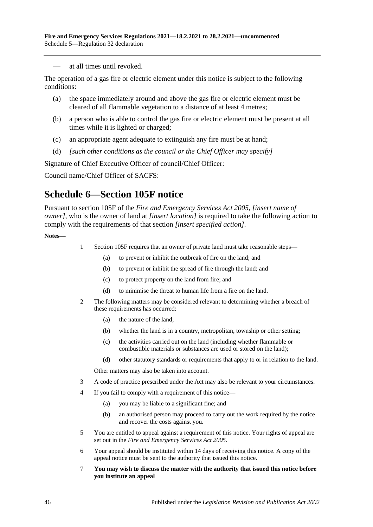— at all times until revoked.

The operation of a gas fire or electric element under this notice is subject to the following conditions:

- (a) the space immediately around and above the gas fire or electric element must be cleared of all flammable vegetation to a distance of at least 4 metres;
- (b) a person who is able to control the gas fire or electric element must be present at all times while it is lighted or charged;
- (c) an appropriate agent adequate to extinguish any fire must be at hand;
- (d) *[such other conditions as the council or the Chief Officer may specify]*

Signature of Chief Executive Officer of council/Chief Officer:

<span id="page-45-0"></span>Council name/Chief Officer of SACFS:

# **Schedule 6—Section 105F notice**

Pursuant to section 105F of the *[Fire and Emergency Services Act](http://www.legislation.sa.gov.au/index.aspx?action=legref&type=act&legtitle=Fire%20and%20Emergency%20Services%20Act%202005) 2005*, *[insert name of owner]*, who is the owner of land at *[insert location]* is required to take the following action to comply with the requirements of that section *[insert specified action]*.

**Notes—**

- 1 Section 105F requires that an owner of private land must take reasonable steps—
	- (a) to prevent or inhibit the outbreak of fire on the land; and
	- (b) to prevent or inhibit the spread of fire through the land; and
	- (c) to protect property on the land from fire; and
	- (d) to minimise the threat to human life from a fire on the land.
- 2 The following matters may be considered relevant to determining whether a breach of these requirements has occurred:
	- (a) the nature of the land;
	- (b) whether the land is in a country, metropolitan, township or other setting;
	- (c) the activities carried out on the land (including whether flammable or combustible materials or substances are used or stored on the land);
	- (d) other statutory standards or requirements that apply to or in relation to the land.

Other matters may also be taken into account.

- 3 A code of practice prescribed under the Act may also be relevant to your circumstances.
- 4 If you fail to comply with a requirement of this notice—
	- (a) you may be liable to a significant fine; and
	- (b) an authorised person may proceed to carry out the work required by the notice and recover the costs against you.
- 5 You are entitled to appeal against a requirement of this notice. Your rights of appeal are set out in the *[Fire and Emergency Services Act](http://www.legislation.sa.gov.au/index.aspx?action=legref&type=act&legtitle=Fire%20and%20Emergency%20Services%20Act%202005) 2005*.
- 6 Your appeal should be instituted within 14 days of receiving this notice. A copy of the appeal notice must be sent to the authority that issued this notice.
- 7 **You may wish to discuss the matter with the authority that issued this notice before you institute an appeal**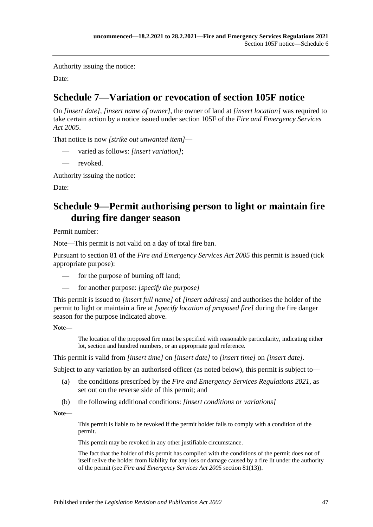Authority issuing the notice:

<span id="page-46-0"></span>Date:

# **Schedule 7—Variation or revocation of section 105F notice**

On *[insert date]*, *[insert name of owner]*, the owner of land at *[insert location]* was required to take certain action by a notice issued under section 105F of the *[Fire and Emergency Services](http://www.legislation.sa.gov.au/index.aspx?action=legref&type=act&legtitle=Fire%20and%20Emergency%20Services%20Act%202005)  Act [2005](http://www.legislation.sa.gov.au/index.aspx?action=legref&type=act&legtitle=Fire%20and%20Emergency%20Services%20Act%202005)*.

That notice is now *[strike out unwanted item]*—

- varied as follows: [insert variation];
- revoked.

Authority issuing the notice:

<span id="page-46-1"></span>Date:

# **Schedule 9—Permit authorising person to light or maintain fire during fire danger season**

Permit number:

Note—This permit is not valid on a day of total fire ban.

Pursuant to section 81 of the *[Fire and Emergency Services Act](http://www.legislation.sa.gov.au/index.aspx?action=legref&type=act&legtitle=Fire%20and%20Emergency%20Services%20Act%202005) 2005* this permit is issued (tick appropriate purpose):

- for the purpose of burning off land;
- for another purpose: [specify the purpose]

This permit is issued to *[insert full name]* of *[insert address]* and authorises the holder of the permit to light or maintain a fire at *[specify location of proposed fire]* during the fire danger season for the purpose indicated above.

#### **Note—**

The location of the proposed fire must be specified with reasonable particularity, indicating either lot, section and hundred numbers, or an appropriate grid reference.

This permit is valid from *[insert time]* on *[insert date]* to *[insert time]* on *[insert date]*.

Subject to any variation by an authorised officer (as noted below), this permit is subject to—

- (a) the conditions prescribed by the *[Fire and Emergency Services Regulations](http://www.legislation.sa.gov.au/index.aspx?action=legref&type=subordleg&legtitle=Fire%20and%20Emergency%20Services%20Regulations%202021) 2021*, as set out on the reverse side of this permit; and
- (b) the following additional conditions: *[insert conditions or variations]*

**Note—**

This permit is liable to be revoked if the permit holder fails to comply with a condition of the permit.

This permit may be revoked in any other justifiable circumstance.

The fact that the holder of this permit has complied with the conditions of the permit does not of itself relive the holder from liability for any loss or damage caused by a fire lit under the authority of the permit (see *[Fire and Emergency Services Act](http://www.legislation.sa.gov.au/index.aspx?action=legref&type=act&legtitle=Fire%20and%20Emergency%20Services%20Act%202005) 2005* section 81(13)).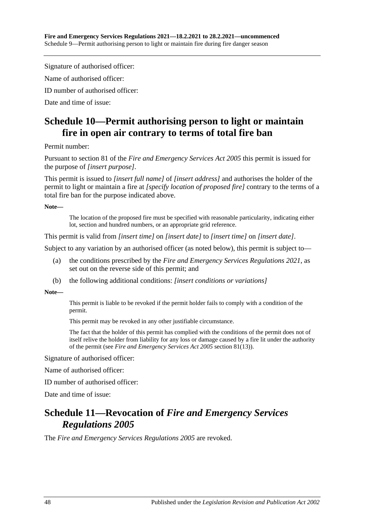Signature of authorised officer:

Name of authorised officer:

ID number of authorised officer:

<span id="page-47-0"></span>Date and time of issue:

# **Schedule 10—Permit authorising person to light or maintain fire in open air contrary to terms of total fire ban**

Permit number:

Pursuant to section 81 of the *[Fire and Emergency Services Act](http://www.legislation.sa.gov.au/index.aspx?action=legref&type=act&legtitle=Fire%20and%20Emergency%20Services%20Act%202005) 2005* this permit is issued for the purpose of *[insert purpose]*.

This permit is issued to *[insert full name]* of *[insert address]* and authorises the holder of the permit to light or maintain a fire at *[specify location of proposed fire]* contrary to the terms of a total fire ban for the purpose indicated above.

**Note—**

The location of the proposed fire must be specified with reasonable particularity, indicating either lot, section and hundred numbers, or an appropriate grid reference.

This permit is valid from *[insert time]* on *[insert date]* to *[insert time]* on *[insert date]*.

Subject to any variation by an authorised officer (as noted below), this permit is subject to—

- (a) the conditions prescribed by the *[Fire and Emergency Services Regulations](http://www.legislation.sa.gov.au/index.aspx?action=legref&type=subordleg&legtitle=Fire%20and%20Emergency%20Services%20Regulations%202021) 2021*, as set out on the reverse side of this permit; and
- (b) the following additional conditions: *[insert conditions or variations]*

**Note—**

This permit is liable to be revoked if the permit holder fails to comply with a condition of the permit.

This permit may be revoked in any other justifiable circumstance.

The fact that the holder of this permit has complied with the conditions of the permit does not of itself relive the holder from liability for any loss or damage caused by a fire lit under the authority of the permit (see *[Fire and Emergency Services Act](http://www.legislation.sa.gov.au/index.aspx?action=legref&type=act&legtitle=Fire%20and%20Emergency%20Services%20Act%202005) 2005* section 81(13)).

Signature of authorised officer:

Name of authorised officer:

ID number of authorised officer:

<span id="page-47-1"></span>Date and time of issue:

## **Schedule 11—Revocation of** *Fire and Emergency Services Regulations 2005*

The *[Fire and Emergency Services Regulations](http://www.legislation.sa.gov.au/index.aspx?action=legref&type=act&legtitle=Fire%20and%20Emergency%20Services%20Regulations%202005) 2005* are revoked.